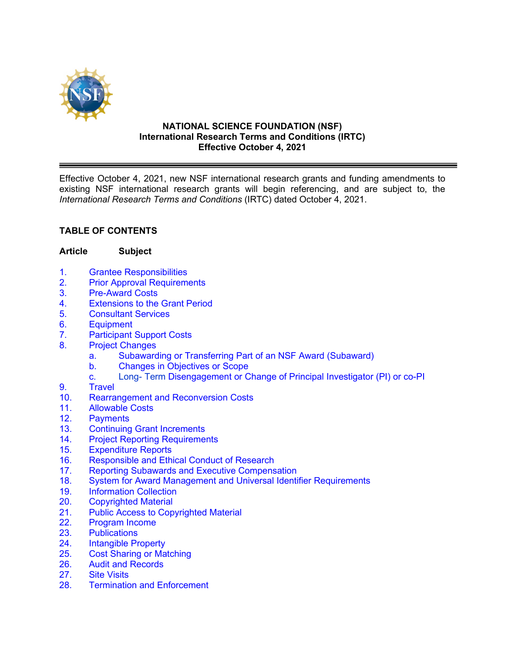

#### **NATIONAL SCIENCE FOUNDATION (NSF) International Research Terms and Conditions (IRTC) Effective October 4, 2021**

Effective October 4, 2021, new NSF international research grants and funding amendments to existing NSF international research grants will begin referencing, and are subject to, the *International Research Terms and Conditions* (IRTC) dated October 4, 2021.

# **TABLE OF CONTENTS**

#### **Article Subject**

- 1. Grantee [Responsibilities](#page-2-0)
- 2. [Prior Approval Requirements](#page-3-0)
- 3. [Pre-Award Costs](#page-3-0)
- 4. [Extensions to the Grant Period](#page-3-0)
- 5. [Consultant Services](#page-4-0)
- [6. Equipment](#page-4-0)
- 7. [Participant Support Costs](#page-5-0)
- 8. [Project Changes](#page-6-0)
	- a. [Subawarding or Transferring Part of an NSF Award](#page-6-0) (Subaward)
	- [b. Changes in Objectives or Scope](#page-6-0)
	- c. [Long- Term Disengagement or Change of Principal Investigator \(PI\) or co-PI](#page-6-0)
- [9. Travel](#page-7-0)
- 10. Rearrangement [and Reconversion Costs](#page-9-0)
- 11. [Allowable Costs](#page-10-0)
- [12. Payments](#page-10-0)
- 13. [Continuing Grant](#page-10-0) Increments<br>14. Proiect Reporting Requirement
- 14. [Project Reporting](#page-11-0) Requirements<br>15. Expenditure Reports
- 
- 15. [Expenditure Reports](#page-12-0)<br>16. Responsible and Ethi Responsible and Ethical Conduct of Research
- 17. [Reporting Subawards and Executive Compensation](#page-13-0)
- 18. [System for Award Management and Universal Identifier](#page-16-0) Requirements
- 19. [Information Collection](#page-17-0)
- [20. Copyrighted](#page-17-0) Material<br>21. Public Access to Cop
- 21. [Public Access to Copyrighted Material](#page-18-0)<br>22. Program Income
- [Program Income](#page-18-0)
- [23. Publications](#page-20-0)
- 24. [Intangible Property](#page-20-0)
- 25. Cost [Sharing or Matching](#page-20-0)
- 26. [Audit and Records](#page-21-0)
- 27. [Site Visits](#page-22-0)
- [28. Termination](#page-22-0) and Enforcement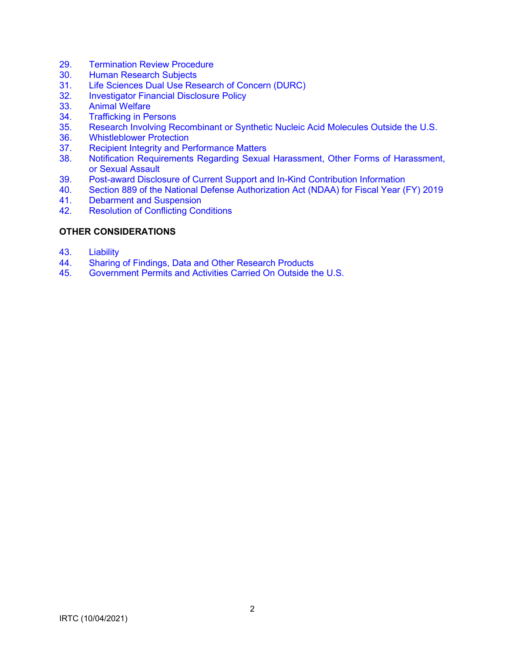- 29. [Termination Review Procedure](#page-23-0)
- 30. [Human Research Subjects](#page-24-0)
- 31. [Life Sciences Dual Use Research of Concern \(DURC\)](#page-24-0)<br>32. Investigator Financial Disclosure Policy
- **Investigator Financial Disclosure Policy**
- 33. [Animal Welfare](#page-24-0)
- 34. [Trafficking in Persons](#page-24-0)<br>35. Research Involving Re
- 35. Research Involving Recombinant [or Synthetic Nucleic Acid Molecules Outside the U.S.](#page-24-0)
- 36. [Whistleblower Protection](#page-25-0)
- 37. [Recipient Integrity and Performance Matters](#page-25-0)<br>38. Notification Requirements Regarding Sexual
- [Notification Requirements Regarding Sexual Harassment, Other Forms of Harassment,](#page-25-0) or Sexual Assault
- 39. [Post-award Disclosure of Current Support and In-Kind Contribution Information](#page-27-0)
- 40. [Section 889 of the National Defense Authorization Act \(NDAA\) for Fiscal Year \(FY\) 2019](#page-29-0)
- [Debarment and Suspension](#page-30-0)
- 42. [Resolution of Conflicting Conditions](#page-30-0)

### **[OTHER CONSIDERATIONS](#page-30-0)**

- 43. [Liability](#page-30-0)
- 44. [Sharing of Findings, Data and Other Research Products](#page-31-0)<br>45. Government Permits and Activities Carried On Outside th
- 45. [Government Permits and Activities Carried On Outside the U.S.](#page-31-0)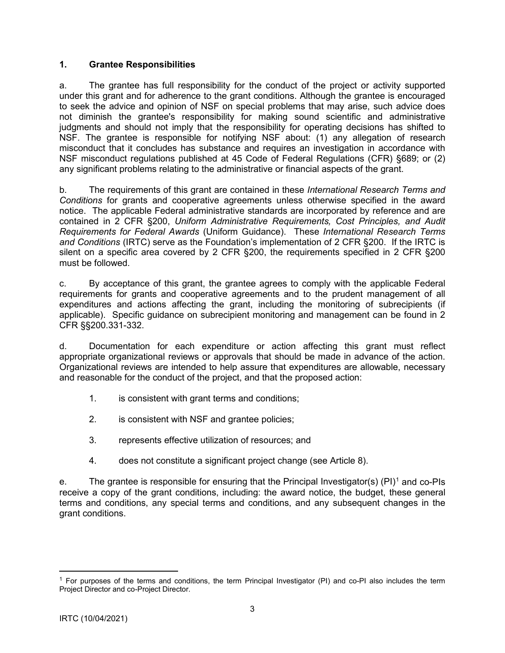### <span id="page-2-0"></span>**1. Grantee Responsibilities**

a. The grantee has full responsibility for the conduct of the project or activity supported under this grant and for adherence to the grant conditions. Although the grantee is encouraged to seek the advice and opinion of NSF on special problems that may arise, such advice does not diminish the grantee's responsibility for making sound scientific and administrative judgments and should not imply that the responsibility for operating decisions has shifted to NSF. The grantee is responsible for notifying NSF about: (1) any allegation of research misconduct that it concludes has substance and requires an investigation in accordance with NSF misconduct regulations published at 45 Code of Federal Regulations (CFR) §689; or (2) any significant problems relating to the administrative or financial aspects of the grant.

b. The requirements of this grant are contained in these *International Research Terms and Conditions* for grants and cooperative agreements unless otherwise specified in the award notice. The applicable Federal administrative standards are incorporated by reference and are contained in 2 CFR §200, *Uniform Administrative Requirements, Cost Principles, and Audit Requirements for Federal Awards* (Uniform Guidance). These *International Research Terms and Conditions* (IRTC) serve as the Foundation's implementation of 2 CFR §200. If the IRTC is silent on a specific area covered by 2 CFR §200, the requirements specified in 2 CFR §200 must be followed.

c. By acceptance of this grant, the grantee agrees to comply with the applicable Federal requirements for grants and cooperative agreements and to the prudent management of all expenditures and actions affecting the grant, including the monitoring of subrecipients (if applicable). Specific guidance on subrecipient monitoring and management can be found in 2 CFR §§200.331-332.

d. Documentation for each expenditure or action affecting this grant must reflect appropriate organizational reviews or approvals that should be made in advance of the action. Organizational reviews are intended to help assure that expenditures are allowable, necessary and reasonable for the conduct of the project, and that the proposed action:

- 1. is consistent with grant terms and conditions;
- 2. is consistent with NSF and grantee policies;
- 3. represents effective utilization of resources; and
- 4. does not constitute a significant project change (see Article 8).

e. The grantee is responsible for ensuring that the Principal Investigator(s) (PI)<sup>[1](#page-2-1)</sup> and co-PIs receive a copy of the grant conditions, including: the award notice, the budget, these general terms and conditions, any special terms and conditions, and any subsequent changes in the grant conditions.

<span id="page-2-1"></span><sup>&</sup>lt;sup>1</sup> For purposes of the terms and conditions, the term Principal Investigator (PI) and co-PI also includes the term Project Director and co-Project Director.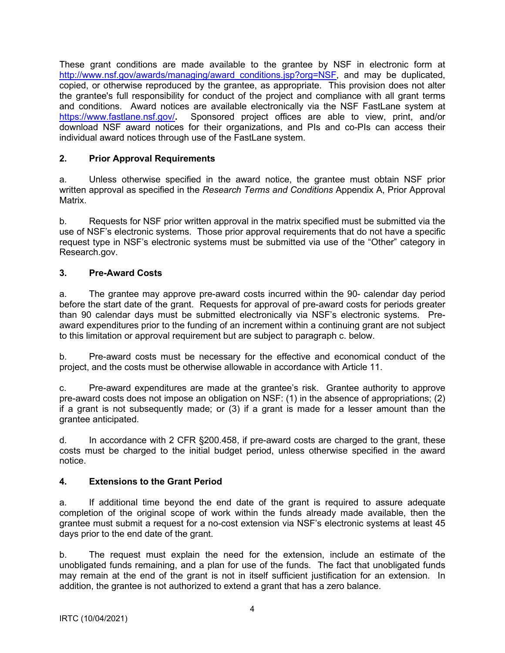<span id="page-3-0"></span>These grant conditions are made available to the grantee by NSF in electronic form at [http://www.nsf.gov/awards/managing/award\\_conditions.jsp?org=NSF, a](http://www.nsf.gov/awards/managing/award_conditions.jsp?org=NSF)nd may be duplicated, copied, or otherwise reproduced by the grantee, as appropriate. This provision does not alter the grantee's full responsibility for conduct of the project and compliance with all grant terms and conditions. Award notices are available electronically via the NSF FastLane system at <https://www.fastlane.nsf.gov/>**.** Sponsored project offices are able to view, print, and/or download NSF award notices for their organizations, and PIs and co-PIs can access their individual award notices through use of the FastLane system.

# **2. Prior Approval Requirements**

a. Unless otherwise specified in the award notice, the grantee must obtain NSF prior written approval as specified in the *Research Terms and Conditions* Appendix A, Prior Approval Matrix.

b. Requests for NSF prior written approval in the matrix specified must be submitted via the use of NSF's electronic systems. Those prior approval requirements that do not have a specific request type in NSF's electronic systems must be submitted via use of the "Other" category in Research.gov.

# **3. Pre-Award Costs**

a. The grantee may approve pre-award costs incurred within the 90- calendar day period before the start date of the grant. Requests for approval of pre-award costs for periods greater than 90 calendar days must be submitted electronically via NSF's electronic systems. Preaward expenditures prior to the funding of an increment within a continuing grant are not subject to this limitation or approval requirement but are subject to paragraph c. below.

b. Pre-award costs must be necessary for the effective and economical conduct of the project, and the costs must be otherwise allowable in accordance with Article 11.

c. Pre-award expenditures are made at the grantee's risk. Grantee authority to approve pre-award costs does not impose an obligation on NSF: (1) in the absence of appropriations; (2) if a grant is not subsequently made; or (3) if a grant is made for a lesser amount than the grantee anticipated.

d. In accordance with 2 CFR §200.458, if pre-award costs are charged to the grant, these costs must be charged to the initial budget period, unless otherwise specified in the award notice.

# **4. Extensions to the Grant Period**

a. If additional time beyond the end date of the grant is required to assure adequate completion of the original scope of work within the funds already made available, then the grantee must submit a request for a no-cost extension via NSF's electronic systems at least 45 days prior to the end date of the grant.

b. The request must explain the need for the extension, include an estimate of the unobligated funds remaining, and a plan for use of the funds. The fact that unobligated funds may remain at the end of the grant is not in itself sufficient justification for an extension. In addition, the grantee is not authorized to extend a grant that has a zero balance.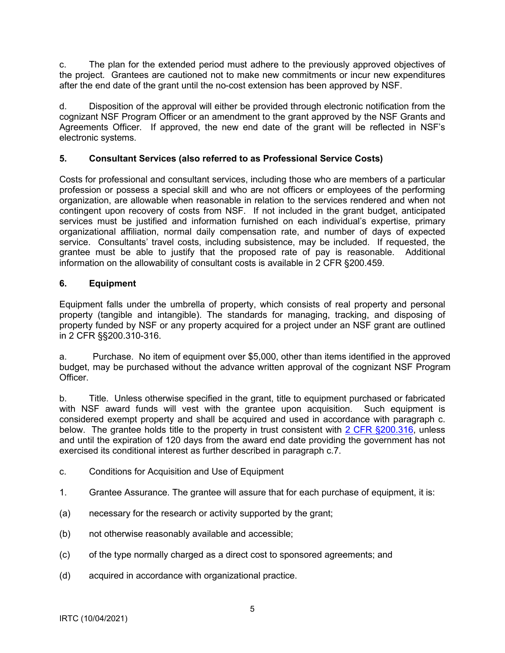<span id="page-4-0"></span>c. The plan for the extended period must adhere to the previously approved objectives of the project. Grantees are cautioned not to make new commitments or incur new expenditures after the end date of the grant until the no-cost extension has been approved by NSF.

d. Disposition of the approval will either be provided through electronic notification from the cognizant NSF Program Officer or an amendment to the grant approved by the NSF Grants and Agreements Officer. If approved, the new end date of the grant will be reflected in NSF's electronic systems.

# **5. Consultant Services (also referred to as Professional Service Costs)**

Costs for professional and consultant services, including those who are members of a particular profession or possess a special skill and who are not officers or employees of the performing organization, are allowable when reasonable in relation to the services rendered and when not contingent upon recovery of costs from NSF. If not included in the grant budget, anticipated services must be justified and information furnished on each individual's expertise, primary organizational affiliation, normal daily compensation rate, and number of days of expected service. Consultants' travel costs, including subsistence, may be included. If requested, the grantee must be able to justify that the proposed rate of pay is reasonable. Additional information on the allowability of consultant costs is available in 2 CFR §200.459.

## **6. Equipment**

Equipment falls under the umbrella of property, which consists of real property and personal property (tangible and intangible). The standards for managing, tracking, and disposing of property funded by NSF or any property acquired for a project under an NSF grant are outlined in 2 CFR §§200.310-316.

a. Purchase. No item of equipment over \$5,000, other than items identified in the approved budget, may be purchased without the advance written approval of the cognizant NSF Program Officer.

b. Title. Unless otherwise specified in the grant, title to equipment purchased or fabricated with NSF award funds will vest with the grantee upon acquisition. Such equipment is considered exempt property and shall be acquired and used in accordance with paragraph c. below. The grantee holds title to the property in trust consistent with [2 CFR §200.316,](http://a257.g.akamaitech.net/7/257/2422/15mar20071500/edocket.access.gpo.gov/cfr_2007/janqtr/pdf/2cfr215.34.pdf) unless and until the expiration of 120 days from the award end date providing the government has not exercised its conditional interest as further described in paragraph c.7.

- c. Conditions for Acquisition and Use of Equipment
- 1. Grantee Assurance. The grantee will assure that for each purchase of equipment, it is:
- (a) necessary for the research or activity supported by the grant;
- (b) not otherwise reasonably available and accessible;
- (c) of the type normally charged as a direct cost to sponsored agreements; and
- (d) acquired in accordance with organizational practice.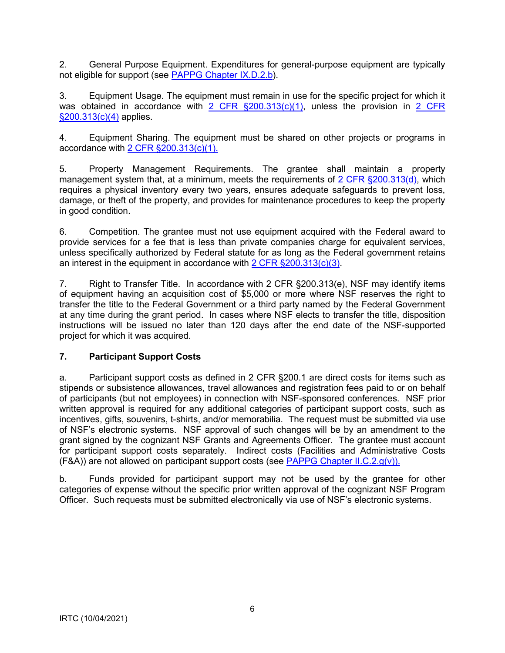<span id="page-5-0"></span>2. General Purpose Equipment. Expenditures for general-purpose equipment are typically not eligible for support (see [PAPPG Chapter IX.D.2.b\)](https://www.nsf.gov/pubs/policydocs/pappg22_1/pappg_9.jsp#IXD2).

3. Equipment Usage. The equipment must remain in use for the specific project for which it was obtained in accordance with [2 CFR §200.313\(c\)\(1\),](http://a257.g.akamaitech.net/7/257/2422/15mar20071500/edocket.access.gpo.gov/cfr_2007/janqtr/pdf/2cfr215.34.pdf) unless the provision in 2 CFR [§200.313\(c\)\(4\)](http://a257.g.akamaitech.net/7/257/2422/15mar20071500/edocket.access.gpo.gov/cfr_2007/janqtr/pdf/2cfr215.34.pdf) applies.

4. Equipment Sharing. The equipment must be shared on other projects or programs in accordance with [2 CFR §200.313\(c\)\(1\).](http://a257.g.akamaitech.net/7/257/2422/15mar20071500/edocket.access.gpo.gov/cfr_2007/janqtr/pdf/2cfr215.34.pdf)

5. Property Management Requirements. The grantee shall maintain a property management system that, at a minimum, meets the requirements of [2 CFR §200.313\(d\),](http://a257.g.akamaitech.net/7/257/2422/15mar20071500/edocket.access.gpo.gov/cfr_2007/janqtr/pdf/2cfr215.34.pdf) which requires a physical inventory every two years, ensures adequate safeguards to prevent loss, damage, or theft of the property, and provides for maintenance procedures to keep the property in good condition.

6. Competition. The grantee must not use equipment acquired with the Federal award to provide services for a fee that is less than private companies charge for equivalent services, unless specifically authorized by Federal statute for as long as the Federal government retains an interest in the equipment in accordance with [2 CFR §200.313\(c\)\(3\).](http://a257.g.akamaitech.net/7/257/2422/15mar20071500/edocket.access.gpo.gov/cfr_2007/janqtr/pdf/2cfr215.34.pdf)

7. Right to Transfer Title. In accordance with 2 CFR §200.313(e), NSF may identify items of equipment having an acquisition cost of \$5,000 or more where NSF reserves the right to transfer the title to the Federal Government or a third party named by the Federal Government at any time during the grant period. In cases where NSF elects to transfer the title, disposition instructions will be issued no later than 120 days after the end date of the NSF-supported project for which it was acquired.

# **7. Participant Support Costs**

a. Participant support costs as defined in 2 CFR §200.1 are direct costs for items such as stipends or subsistence allowances, travel allowances and registration fees paid to or on behalf of participants (but not employees) in connection with NSF-sponsored conferences. NSF prior written approval is required for any additional categories of participant support costs, such as incentives, gifts, souvenirs, t-shirts, and/or memorabilia. The request must be submitted via use of NSF's electronic systems. NSF approval of such changes will be by an amendment to the grant signed by the cognizant NSF Grants and Agreements Officer. The grantee must account for participant support costs separately. Indirect costs (Facilities and Administrative Costs  $(FBA)$ ) are not allowed on participant support costs (see [PAPPG Chapter II.C.2.g\(v\)\).](https://www.nsf.gov/pubs/policydocs/pappg22_1/pappg_2.jsp#IIC2gv)

b. Funds provided for participant support may not be used by the grantee for other categories of expense without the specific prior written approval of the cognizant NSF Program Officer. Such requests must be submitted electronically via use of NSF's electronic systems.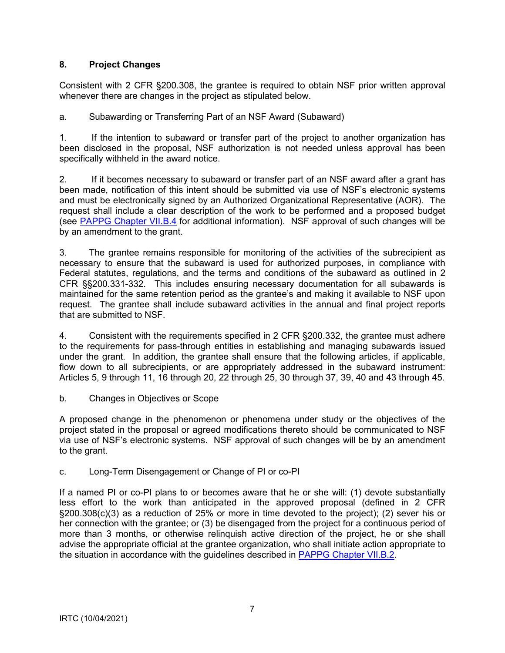# <span id="page-6-0"></span>**8. Project Changes**

Consistent with 2 CFR §200.308, the grantee is required to obtain NSF prior written approval whenever there are changes in the project as stipulated below.

a. Subawarding or Transferring Part of an NSF Award (Subaward)

1. If the intention to subaward or transfer part of the project to another organization has been disclosed in the proposal, NSF authorization is not needed unless approval has been specifically withheld in the award notice.

2. If it becomes necessary to subaward or transfer part of an NSF award after a grant has been made, notification of this intent should be submitted via use of NSF's electronic systems and must be electronically signed by an Authorized Organizational Representative (AOR). The request shall include a clear description of the work to be performed and a proposed budget (see [PAPPG Chapter VII.B.4](https://www.nsf.gov/pubs/policydocs/pappg22_1/pappg_7.jsp#VIIB4) for additional information). NSF approval of such changes will be by an amendment to the grant.

3. The grantee remains responsible for monitoring of the activities of the subrecipient as necessary to ensure that the subaward is used for authorized purposes, in compliance with Federal statutes, regulations, and the terms and conditions of the subaward as outlined in 2 CFR §§200.331-332. This includes ensuring necessary documentation for all subawards is maintained for the same retention period as the grantee's and making it available to NSF upon request. The grantee shall include subaward activities in the annual and final project reports that are submitted to NSF.

4. Consistent with the requirements specified in 2 CFR §200.332, the grantee must adhere to the requirements for pass-through entities in establishing and managing subawards issued under the grant. In addition, the grantee shall ensure that the following articles, if applicable, flow down to all subrecipients, or are appropriately addressed in the subaward instrument: Articles 5, 9 through 11, 16 through 20, 22 through 25, 30 through 37, 39, 40 and 43 through 45.

b. Changes in Objectives or Scope

A proposed change in the phenomenon or phenomena under study or the objectives of the project stated in the proposal or agreed modifications thereto should be communicated to NSF via use of NSF's electronic systems. NSF approval of such changes will be by an amendment to the grant.

# c. Long-Term Disengagement or Change of PI or co-PI

If a named PI or co-PI plans to or becomes aware that he or she will: (1) devote substantially less effort to the work than anticipated in the approved proposal (defined in 2 CFR §200.308(c)(3) as a reduction of 25% or more in time devoted to the project); (2) sever his or her connection with the grantee; or (3) be disengaged from the project for a continuous period of more than 3 months, or otherwise relinquish active direction of the project, he or she shall advise the appropriate official at the grantee organization, who shall initiate action appropriate to the situation in accordance with the guidelines described in [PAPPG Chapter VII.B.2.](https://www.nsf.gov/pubs/policydocs/pappg22_1/pappg_7.jsp#VIIB2)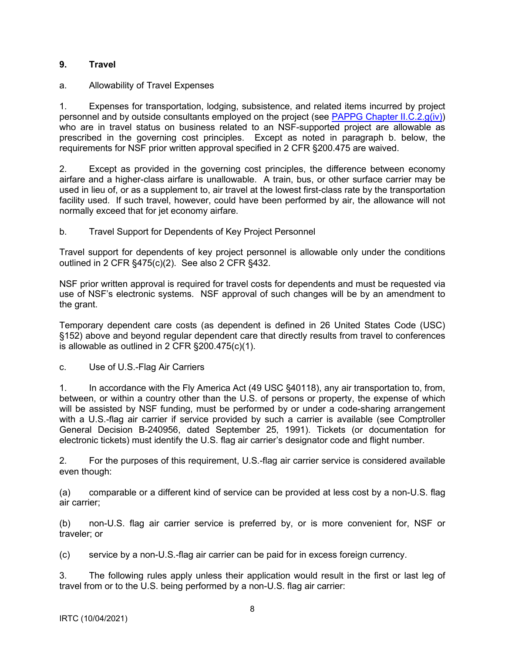## <span id="page-7-0"></span>**9. Travel**

## a. Allowability of Travel Expenses

1. Expenses for transportation, lodging, subsistence, and related items incurred by project personnel and by outside consultants employed on the project (see [PAPPG Chapter II.C.2.g\(iv\)\)](https://www.nsf.gov/pubs/policydocs/pappg22_1/pappg_2.jsp#IIC2giv) who are in travel status on business related to an NSF-supported project are allowable as prescribed in the governing cost principles. Except as noted in paragraph b. below, the requirements for NSF prior written approval specified in 2 CFR §200.475 are waived.

2. Except as provided in the governing cost principles, the difference between economy airfare and a higher-class airfare is unallowable. A train, bus, or other surface carrier may be used in lieu of, or as a supplement to, air travel at the lowest first-class rate by the transportation facility used. If such travel, however, could have been performed by air, the allowance will not normally exceed that for jet economy airfare.

## b. Travel Support for Dependents of Key Project Personnel

Travel support for dependents of key project personnel is allowable only under the conditions outlined in 2 CFR §475(c)(2). See also 2 CFR §432.

NSF prior written approval is required for travel costs for dependents and must be requested via use of NSF's electronic systems. NSF approval of such changes will be by an amendment to the grant.

Temporary dependent care costs (as dependent is defined in 26 United States Code (USC) §152) above and beyond regular dependent care that directly results from travel to conferences is allowable as outlined in 2 CFR §200.475(c)(1).

c. Use of U.S.-Flag Air Carriers

1. In accordance with the Fly America Act (49 USC §40118), any air transportation to, from, between, or within a country other than the U.S. of persons or property, the expense of which will be assisted by NSF funding, must be performed by or under a code-sharing arrangement with a U.S.-flag air carrier if service provided by such a carrier is available (see Comptroller General Decision B-240956, dated September 25, 1991). Tickets (or documentation for electronic tickets) must identify the U.S. flag air carrier's designator code and flight number.

2. For the purposes of this requirement, U.S.-flag air carrier service is considered available even though:

(a) comparable or a different kind of service can be provided at less cost by a non-U.S. flag air carrier;

(b) non-U.S. flag air carrier service is preferred by, or is more convenient for, NSF or traveler; or

(c) service by a non-U.S.-flag air carrier can be paid for in excess foreign currency.

3. The following rules apply unless their application would result in the first or last leg of travel from or to the U.S. being performed by a non-U.S. flag air carrier: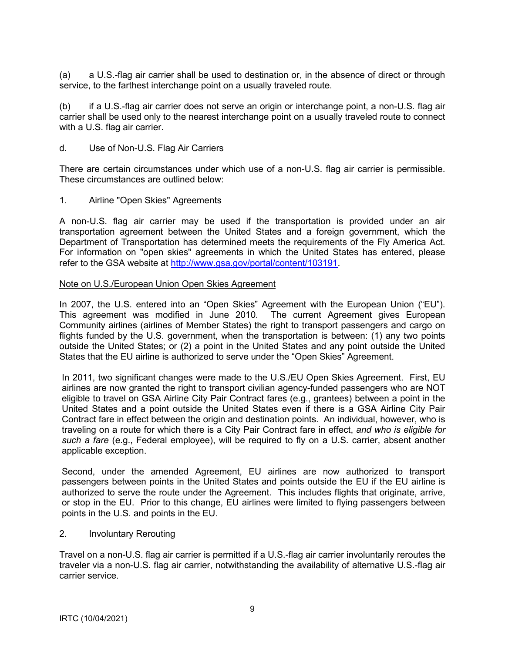(a) a U.S.-flag air carrier shall be used to destination or, in the absence of direct or through service, to the farthest interchange point on a usually traveled route.

(b) if a U.S.-flag air carrier does not serve an origin or interchange point, a non-U.S. flag air carrier shall be used only to the nearest interchange point on a usually traveled route to connect with a U.S. flag air carrier.

d. Use of Non-U.S. Flag Air Carriers

There are certain circumstances under which use of a non-U.S. flag air carrier is permissible. These circumstances are outlined below:

1. Airline "Open Skies" Agreements

A non-U.S. flag air carrier may be used if the transportation is provided under an air transportation agreement between the United States and a foreign government, which the Department of Transportation has determined meets the requirements of the Fly America Act. For information on "open skies" agreements in which the United States has entered, please refer to the GSA website at [http://www.gsa.gov/portal/content/103191.](http://www.gsa.gov/portal/content/103191)

#### Note on U.S./European Union Open Skies Agreement

In 2007, the U.S. entered into an "Open Skies" Agreement with the European Union ("EU"). This agreement was modified in June 2010. The current Agreement gives European Community airlines (airlines of Member States) the right to transport passengers and cargo on flights funded by the U.S. government, when the transportation is between: (1) any two points outside the United States; or (2) a point in the United States and any point outside the United States that the EU airline is authorized to serve under the "Open Skies" Agreement.

In 2011, two significant changes were made to the U.S./EU Open Skies Agreement. First, EU airlines are now granted the right to transport civilian agency-funded passengers who are NOT eligible to travel on GSA Airline City Pair Contract fares (e.g., grantees) between a point in the United States and a point outside the United States even if there is a GSA Airline City Pair Contract fare in effect between the origin and destination points. An individual, however, who is traveling on a route for which there is a City Pair Contract fare in effect, *and who is eligible for such a fare* (e.g., Federal employee), will be required to fly on a U.S. carrier, absent another applicable exception.

Second, under the amended Agreement, EU airlines are now authorized to transport passengers between points in the United States and points outside the EU if the EU airline is authorized to serve the route under the Agreement. This includes flights that originate, arrive, or stop in the EU. Prior to this change, EU airlines were limited to flying passengers between points in the U.S. and points in the EU.

2. Involuntary Rerouting

Travel on a non-U.S. flag air carrier is permitted if a U.S.-flag air carrier involuntarily reroutes the traveler via a non-U.S. flag air carrier, notwithstanding the availability of alternative U.S.-flag air carrier service.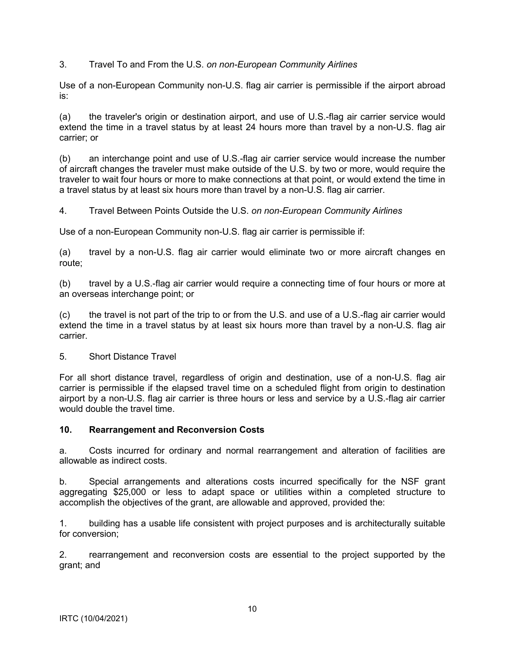<span id="page-9-0"></span>3. Travel To and From the U.S. *on non-European Community Airlines*

Use of a non-European Community non-U.S. flag air carrier is permissible if the airport abroad is:

(a) the traveler's origin or destination airport, and use of U.S.-flag air carrier service would extend the time in a travel status by at least 24 hours more than travel by a non-U.S. flag air carrier; or

(b) an interchange point and use of U.S.-flag air carrier service would increase the number of aircraft changes the traveler must make outside of the U.S. by two or more, would require the traveler to wait four hours or more to make connections at that point, or would extend the time in a travel status by at least six hours more than travel by a non-U.S. flag air carrier.

4. Travel Between Points Outside the U.S. *on non-European Community Airlines*

Use of a non-European Community non-U.S. flag air carrier is permissible if:

(a) travel by a non-U.S. flag air carrier would eliminate two or more aircraft changes en route;

(b) travel by a U.S.-flag air carrier would require a connecting time of four hours or more at an overseas interchange point; or

(c) the travel is not part of the trip to or from the U.S. and use of a U.S.-flag air carrier would extend the time in a travel status by at least six hours more than travel by a non-U.S. flag air carrier.

5. Short Distance Travel

For all short distance travel, regardless of origin and destination, use of a non-U.S. flag air carrier is permissible if the elapsed travel time on a scheduled flight from origin to destination airport by a non-U.S. flag air carrier is three hours or less and service by a U.S.-flag air carrier would double the travel time.

#### **10. Rearrangement and Reconversion Costs**

a. Costs incurred for ordinary and normal rearrangement and alteration of facilities are allowable as indirect costs.

b. Special arrangements and alterations costs incurred specifically for the NSF grant aggregating \$25,000 or less to adapt space or utilities within a completed structure to accomplish the objectives of the grant, are allowable and approved, provided the:

1. building has a usable life consistent with project purposes and is architecturally suitable for conversion;

2. rearrangement and reconversion costs are essential to the project supported by the grant; and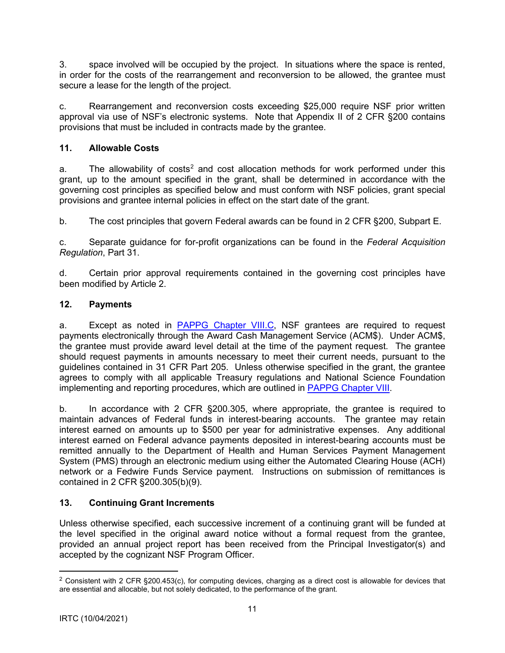<span id="page-10-0"></span>3. space involved will be occupied by the project. In situations where the space is rented, in order for the costs of the rearrangement and reconversion to be allowed, the grantee must secure a lease for the length of the project.

c. Rearrangement and reconversion costs exceeding \$25,000 require NSF prior written approval via use of NSF's electronic systems. Note that Appendix II of 2 CFR §200 contains provisions that must be included in contracts made by the grantee.

# **11. Allowable Costs**

a. The allowability of costs<sup>[2](#page-10-1)</sup> and cost allocation methods for work performed under this grant, up to the amount specified in the grant, shall be determined in accordance with the governing cost principles as specified below and must conform with NSF policies, grant special provisions and grantee internal policies in effect on the start date of the grant.

b. The cost principles that govern Federal awards can be found in 2 CFR §200, Subpart E.

c. Separate guidance for for-profit organizations can be found in the *Federal Acquisition Regulation*, Part 31.

d. Certain prior approval requirements contained in the governing cost principles have been modified by Article 2.

# **12. Payments**

a. Except as noted in [PAPPG Chapter VIII.C,](https://www.nsf.gov/pubs/policydocs/pappg22_1/pappg_8.jsp#VIIIC) NSF grantees are required to request payments electronically through the Award Cash Management Service (ACM\$). Under ACM\$, the grantee must provide award level detail at the time of the payment request. The grantee should request payments in amounts necessary to meet their current needs, pursuant to the guidelines contained in 31 CFR Part 205. Unless otherwise specified in the grant, the grantee agrees to comply with all applicable Treasury regulations and National Science Foundation implementing and reporting procedures, which are outlined in [PAPPG Chapter VIII.](https://www.nsf.gov/pubs/policydocs/pappg22_1/pappg_8.jsp)

b. In accordance with 2 CFR §200.305, where appropriate, the grantee is required to maintain advances of Federal funds in interest-bearing accounts. The grantee may retain interest earned on amounts up to \$500 per year for administrative expenses. Any additional interest earned on Federal advance payments deposited in interest-bearing accounts must be remitted annually to the Department of Health and Human Services Payment Management System (PMS) through an electronic medium using either the Automated Clearing House (ACH) network or a Fedwire Funds Service payment. Instructions on submission of remittances is contained in 2 CFR §200.305(b)(9).

# **13. Continuing Grant Increments**

Unless otherwise specified, each successive increment of a continuing grant will be funded at the level specified in the original award notice without a formal request from the grantee, provided an annual project report has been received from the Principal Investigator(s) and accepted by the cognizant NSF Program Officer.

<span id="page-10-1"></span><sup>&</sup>lt;sup>2</sup> Consistent with 2 CFR §200.453(c), for computing devices, charging as a direct cost is allowable for devices that are essential and allocable, but not solely dedicated, to the performance of the grant.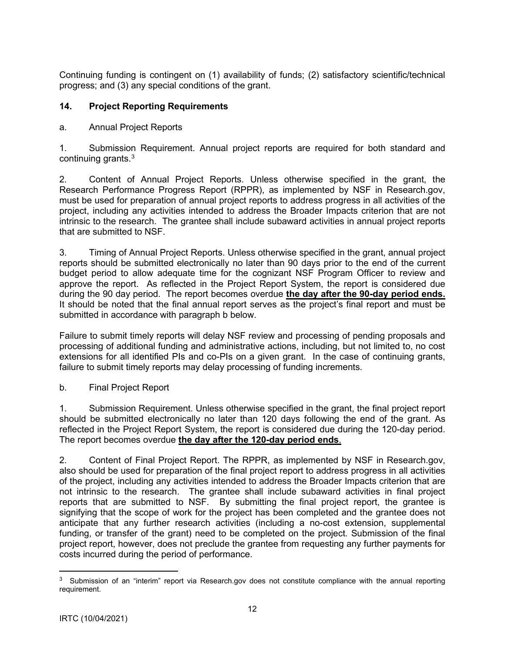<span id="page-11-0"></span>Continuing funding is contingent on (1) availability of funds; (2) satisfactory scientific/technical progress; and (3) any special conditions of the grant.

# **14. Project Reporting Requirements**

# a. Annual Project Reports

1. Submission Requirement. Annual project reports are required for both standard and continuing grants.[3](#page-11-1)

2. Content of Annual Project Reports. Unless otherwise specified in the grant, the Research Performance Progress Report (RPPR), as implemented by NSF in Research.gov, must be used for preparation of annual project reports to address progress in all activities of the project, including any activities intended to address the Broader Impacts criterion that are not intrinsic to the research. The grantee shall include subaward activities in annual project reports that are submitted to NSF.

3. Timing of Annual Project Reports. Unless otherwise specified in the grant, annual project reports should be submitted electronically no later than 90 days prior to the end of the current budget period to allow adequate time for the cognizant NSF Program Officer to review and approve the report. As reflected in the Project Report System, the report is considered due during the 90 day period. The report becomes overdue **the day after the 90-day period ends.** It should be noted that the final annual report serves as the project's final report and must be submitted in accordance with paragraph b below.

Failure to submit timely reports will delay NSF review and processing of pending proposals and processing of additional funding and administrative actions, including, but not limited to, no cost extensions for all identified PIs and co-PIs on a given grant. In the case of continuing grants, failure to submit timely reports may delay processing of funding increments.

b. Final Project Report

1. Submission Requirement. Unless otherwise specified in the grant, the final project report should be submitted electronically no later than 120 days following the end of the grant. As reflected in the Project Report System, the report is considered due during the 120-day period. The report becomes overdue **the day after the 120-day period ends**.

2. Content of Final Project Report. The RPPR, as implemented by NSF in Research.gov, also should be used for preparation of the final project report to address progress in all activities of the project, including any activities intended to address the Broader Impacts criterion that are not intrinsic to the research. The grantee shall include subaward activities in final project reports that are submitted to NSF. By submitting the final project report, the grantee is signifying that the scope of work for the project has been completed and the grantee does not anticipate that any further research activities (including a no-cost extension, supplemental funding, or transfer of the grant) need to be completed on the project. Submission of the final project report, however, does not preclude the grantee from requesting any further payments for costs incurred during the period of performance.

<span id="page-11-1"></span><sup>&</sup>lt;sup>3</sup> Submission of an "interim" report via Research.gov does not constitute compliance with the annual reporting requirement.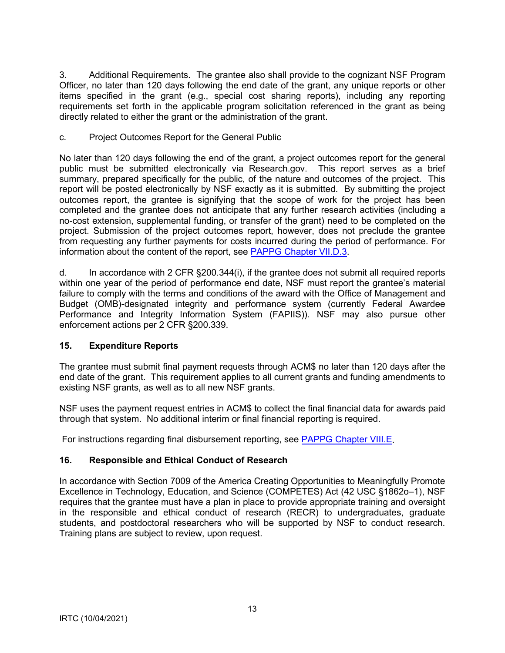<span id="page-12-0"></span>3. Additional Requirements. The grantee also shall provide to the cognizant NSF Program Officer, no later than 120 days following the end date of the grant, any unique reports or other items specified in the grant (e.g., special cost sharing reports), including any reporting requirements set forth in the applicable program solicitation referenced in the grant as being directly related to either the grant or the administration of the grant.

### c*.* Project Outcomes Report for the General Public

No later than 120 days following the end of the grant, a project outcomes report for the general public must be submitted electronically via Research.gov. This report serves as a brief summary, prepared specifically for the public, of the nature and outcomes of the project. This report will be posted electronically by NSF exactly as it is submitted. By submitting the project outcomes report, the grantee is signifying that the scope of work for the project has been completed and the grantee does not anticipate that any further research activities (including a no-cost extension, supplemental funding, or transfer of the grant) need to be completed on the project. Submission of the project outcomes report, however, does not preclude the grantee from requesting any further payments for costs incurred during the period of performance. For information about the content of the report, see [PAPPG Chapter VII.D.3.](https://www.nsf.gov/pubs/policydocs/pappg22_1/pappg_7.jsp#VIID3)

d. In accordance with 2 CFR §200.344(i), if the grantee does not submit all required reports within one year of the period of performance end date, NSF must report the grantee's material failure to comply with the terms and conditions of the award with the Office of Management and Budget (OMB)-designated integrity and performance system (currently Federal Awardee Performance and Integrity Information System (FAPIIS)). NSF may also pursue other enforcement actions per 2 CFR §200.339.

# **15. Expenditure Reports**

The grantee must submit final payment requests through ACM\$ no later than 120 days after the end date of the grant. This requirement applies to all current grants and funding amendments to existing NSF grants, as well as to all new NSF grants.

NSF uses the payment request entries in ACM\$ to collect the final financial data for awards paid through that system. No additional interim or final financial reporting is required.

For instructions regarding final disbursement reporting, see [PAPPG Chapter VIII.E.](https://www.nsf.gov/pubs/policydocs/pappg22_1/pappg_8.jsp#VIIIE)

# **16. Responsible and Ethical Conduct of Research**

In accordance with Section 7009 of the America Creating Opportunities to Meaningfully Promote Excellence in Technology, Education, and Science (COMPETES) Act (42 USC §1862o–1), NSF requires that the grantee must have a plan in place to provide appropriate training and oversight in the responsible and ethical conduct of research (RECR) to undergraduates, graduate students, and postdoctoral researchers who will be supported by NSF to conduct research. Training plans are subject to review, upon request.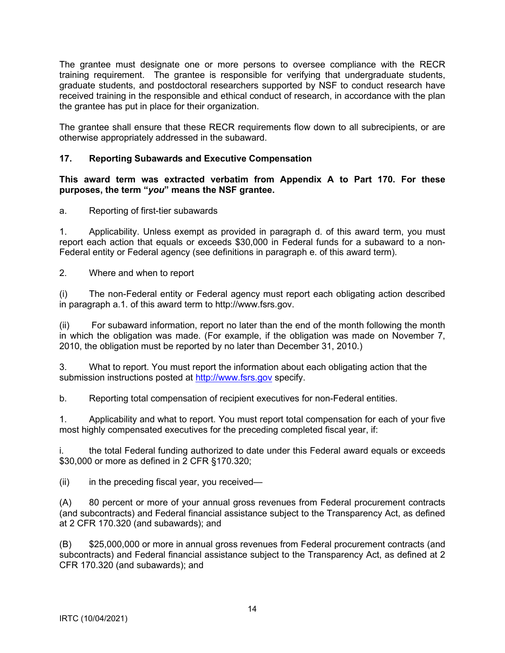<span id="page-13-0"></span>The grantee must designate one or more persons to oversee compliance with the RECR training requirement. The grantee is responsible for verifying that undergraduate students, graduate students, and postdoctoral researchers supported by NSF to conduct research have received training in the responsible and ethical conduct of research, in accordance with the plan the grantee has put in place for their organization.

The grantee shall ensure that these RECR requirements flow down to all subrecipients, or are otherwise appropriately addressed in the subaward.

## **17. Reporting Subawards and Executive Compensation**

**This award term was extracted verbatim from Appendix A to Part 170. For these purposes, the term "***you***" means the NSF grantee.**

a. Reporting of first-tier subawards

1. Applicability. Unless exempt as provided in paragraph d. of this award term, you must report each action that equals or exceeds \$30,000 in Federal funds for a subaward to a non-Federal entity or Federal agency (see definitions in paragraph e. of this award term).

2. Where and when to report

(i) The non-Federal entity or Federal agency must report each obligating action described in paragraph a.1. of this award term to [http://www.fsrs.gov.](http://www.fsrs.gov)

(ii) For subaward information, report no later than the end of the month following the month in which the obligation was made. (For example, if the obligation was made on November 7, 2010, the obligation must be reported by no later than December 31, 2010.)

3. What to report. You must report the information about each obligating action that the submission instructions posted at [http://www.fsrs.gov](http://www.fsrs.gov/) specify.

b. Reporting total compensation of recipient executives for non-Federal entities.

1. Applicability and what to report. You must report total compensation for each of your five most highly compensated executives for the preceding completed fiscal year, if:

i. the total Federal funding authorized to date under this Federal award equals or exceeds \$30,000 or more as defined in 2 CFR §170.320;

 $(ii)$  in the preceding fiscal year, you received—

(A) 80 percent or more of your annual gross revenues from Federal procurement contracts (and subcontracts) and Federal financial assistance subject to the Transparency Act, as defined at 2 CFR 170.320 (and subawards); and

(B) \$25,000,000 or more in annual gross revenues from Federal procurement contracts (and subcontracts) and Federal financial assistance subject to the Transparency Act, as defined at 2 CFR 170.320 (and subawards); and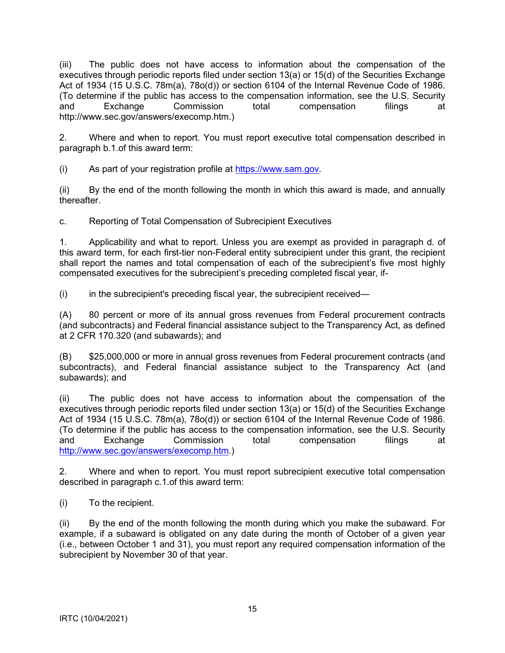(iii) The public does not have access to information about the compensation of the executives through periodic reports filed under section 13(a) or 15(d) of the Securities Exchange Act of 1934 (15 U.S.C. 78m(a), 78o(d)) or section 6104 of the Internal Revenue Code of 1986. (To determine if the public has access to the compensation information, see the U.S. Security and Exchange Commission total compensation filings at [http://www.sec.gov/answers/execomp.htm.\)](http://www.sec.gov/answers/execomp.htm)

2. Where and when to report. You must report executive total compensation described in paragraph b.1.of this award term:

(i) As part of your registration profile at [https://www.sam.gov.](https://www.sam.gov/)

(ii) By the end of the month following the month in which this award is made, and annually thereafter.

c. Reporting of Total Compensation of Subrecipient Executives

1. Applicability and what to report. Unless you are exempt as provided in paragraph d. of this award term, for each first-tier non-Federal entity subrecipient under this grant, the recipient shall report the names and total compensation of each of the subrecipient's five most highly compensated executives for the subrecipient's preceding completed fiscal year, if-

(i) in the subrecipient's preceding fiscal year, the subrecipient received—

(A) 80 percent or more of its annual gross revenues from Federal procurement contracts (and subcontracts) and Federal financial assistance subject to the Transparency Act, as defined at 2 CFR 170.320 (and subawards); and

(B) \$25,000,000 or more in annual gross revenues from Federal procurement contracts (and subcontracts), and Federal financial assistance subject to the Transparency Act (and subawards); and

(ii) The public does not have access to information about the compensation of the executives through periodic reports filed under section 13(a) or 15(d) of the Securities Exchange Act of 1934 (15 U.S.C. 78m(a), 78o(d)) or section 6104 of the Internal Revenue Code of 1986. (To determine if the public has access to the compensation information, see the U.S. Security and Exchange Commission total compensation filings at [http://www.sec.gov/answers/execomp.htm.](http://www.sec.gov/answers/execomp.htm))

2. Where and when to report. You must report subrecipient executive total compensation described in paragraph c.1.of this award term:

(i) To the recipient.

(ii) By the end of the month following the month during which you make the subaward. For example, if a subaward is obligated on any date during the month of October of a given year (i.e., between October 1 and 31), you must report any required compensation information of the subrecipient by November 30 of that year.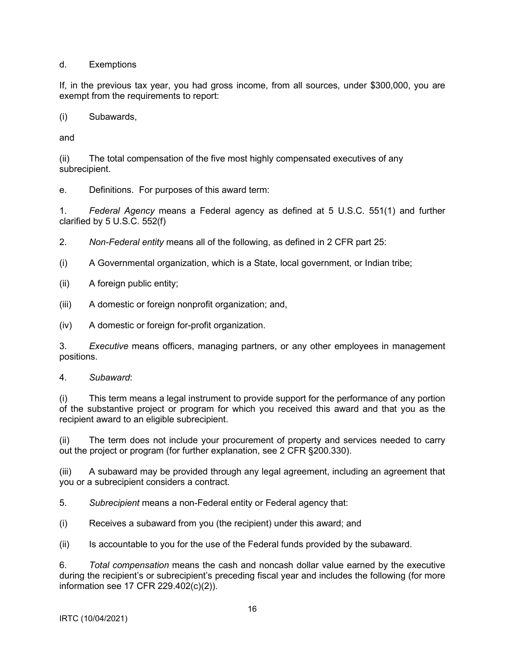d. Exemptions

If, in the previous tax year, you had gross income, from all sources, under \$300,000, you are exempt from the requirements to report:

(i) Subawards,

and

(ii) The total compensation of the five most highly compensated executives of any subrecipient.

e. Definitions. For purposes of this award term:

1. *Federal Agency* means a Federal agency as defined at 5 U.S.C. 551(1) and further clarified by 5 U.S.C. 552(f)

2. *Non-Federal entity* means all of the following, as defined in 2 CFR part 25:

(i) A Governmental organization, which is a State, local government, or Indian tribe;

(ii) A foreign public entity;

(iii) A domestic or foreign nonprofit organization; and,

(iv) A domestic or foreign for-profit organization.

3. *Executive* means officers, managing partners, or any other employees in management positions.

4. *Subaward*:

(i) This term means a legal instrument to provide support for the performance of any portion of the substantive project or program for which you received this award and that you as the recipient award to an eligible subrecipient.

(ii) The term does not include your procurement of property and services needed to carry out the project or program (for further explanation, see 2 CFR §200.330).

(iii) A subaward may be provided through any legal agreement, including an agreement that you or a subrecipient considers a contract.

5. *Subrecipient* means a non-Federal entity or Federal agency that:

(i) Receives a subaward from you (the recipient) under this award; and

(ii) Is accountable to you for the use of the Federal funds provided by the subaward.

6. *Total compensation* means the cash and noncash dollar value earned by the executive during the recipient's or subrecipient's preceding fiscal year and includes the following (for more information see 17 CFR 229.402(c)(2)).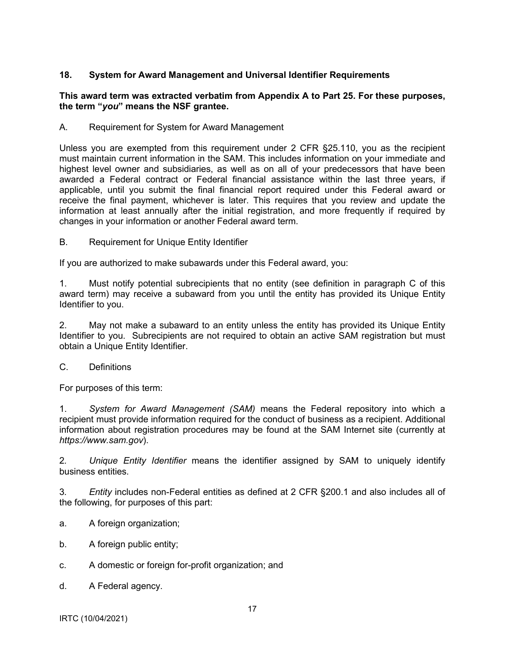## <span id="page-16-0"></span>**18. System for Award Management and Universal Identifier Requirements**

#### **This award term was extracted verbatim from Appendix A to Part 25. For these purposes, the term "***you***" means the NSF grantee.**

A. Requirement for System for Award Management

Unless you are exempted from this requirement under 2 CFR §25.110, you as the recipient must maintain current information in the SAM. This includes information on your immediate and highest level owner and subsidiaries, as well as on all of your predecessors that have been awarded a Federal contract or Federal financial assistance within the last three years, if applicable, until you submit the final financial report required under this Federal award or receive the final payment, whichever is later. This requires that you review and update the information at least annually after the initial registration, and more frequently if required by changes in your information or another Federal award term.

B. Requirement for Unique Entity Identifier

If you are authorized to make subawards under this Federal award, you:

1. Must notify potential subrecipients that no entity (see definition in paragraph C of this award term) may receive a subaward from you until the entity has provided its Unique Entity Identifier to you.

2. May not make a subaward to an entity unless the entity has provided its Unique Entity Identifier to you. Subrecipients are not required to obtain an active SAM registration but must obtain a Unique Entity Identifier.

C. Definitions

For purposes of this term:

1. *System for Award Management (SAM)* means the Federal repository into which a recipient must provide information required for the conduct of business as a recipient. Additional information about registration procedures may be found at the SAM Internet site (currently at *<https://www.sam.gov>*).

2*. Unique Entity Identifier* means the identifier assigned by SAM to uniquely identify business entities.

3*. Entity* includes non-Federal entities as defined at 2 CFR §200.1 and also includes all of the following, for purposes of this part:

- a. A foreign organization;
- b. A foreign public entity;
- c. A domestic or foreign for-profit organization; and
- d. A Federal agency.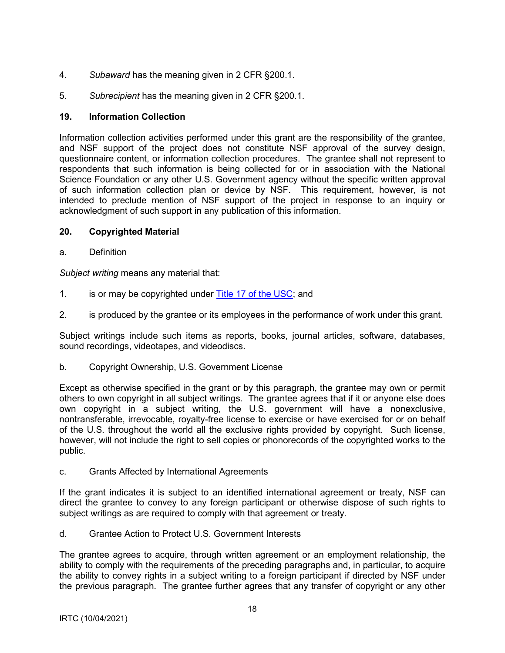- <span id="page-17-0"></span>4. *Subaward* has the meaning given in 2 CFR §200.1.
- 5. *Subrecipient* has the meaning given in 2 CFR §200.1.

### **19. Information Collection**

Information collection activities performed under this grant are the responsibility of the grantee, and NSF support of the project does not constitute NSF approval of the survey design, questionnaire content, or information collection procedures. The grantee shall not represent to respondents that such information is being collected for or in association with the National Science Foundation or any other U.S. Government agency without the specific written approval of such information collection plan or device by NSF. This requirement, however, is not intended to preclude mention of NSF support of the project in response to an inquiry or acknowledgment of such support in any publication of this information.

### **20. Copyrighted Material**

a. Definition

*Subject writing* means any material that:

- 1. is or may be copyrighted under [Title 17 of the USC;](http://www.copyright.gov/title17/) and
- 2. is produced by the grantee or its employees in the performance of work under this grant.

Subject writings include such items as reports, books, journal articles, software, databases, sound recordings, videotapes, and videodiscs.

b. Copyright Ownership, U.S. Government License

Except as otherwise specified in the grant or by this paragraph, the grantee may own or permit others to own copyright in all subject writings. The grantee agrees that if it or anyone else does own copyright in a subject writing, the U.S. government will have a nonexclusive, nontransferable, irrevocable, royalty-free license to exercise or have exercised for or on behalf of the U.S. throughout the world all the exclusive rights provided by copyright. Such license, however, will not include the right to sell copies or phonorecords of the copyrighted works to the public.

c. Grants Affected by International Agreements

If the grant indicates it is subject to an identified international agreement or treaty, NSF can direct the grantee to convey to any foreign participant or otherwise dispose of such rights to subject writings as are required to comply with that agreement or treaty.

d. Grantee Action to Protect U.S. Government Interests

The grantee agrees to acquire, through written agreement or an employment relationship, the ability to comply with the requirements of the preceding paragraphs and, in particular, to acquire the ability to convey rights in a subject writing to a foreign participant if directed by NSF under the previous paragraph. The grantee further agrees that any transfer of copyright or any other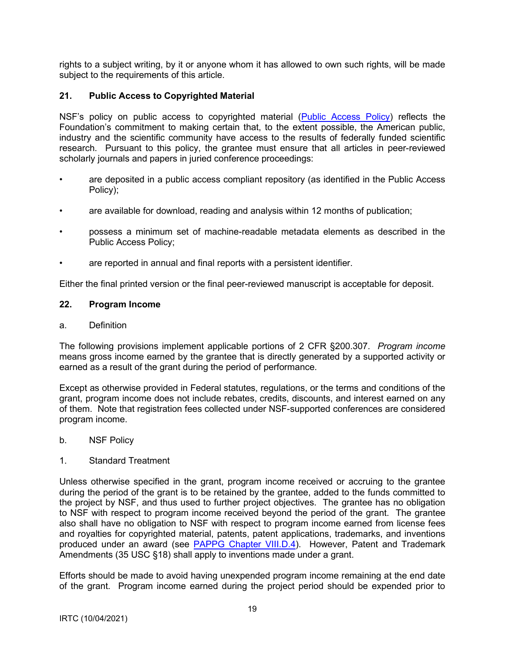<span id="page-18-0"></span>rights to a subject writing, by it or anyone whom it has allowed to own such rights, will be made subject to the requirements of this article.

## **21. Public Access to Copyrighted Material**

NSF's policy on public access to copyrighted material [\(Public Access Policy\)](http://www.nsf.gov/news/special_reports/public_access/) reflects the Foundation's commitment to making certain that, to the extent possible, the American public, industry and the scientific community have access to the results of federally funded scientific research. Pursuant to this policy, the grantee must ensure that all articles in peer-reviewed scholarly journals and papers in juried conference proceedings:

- are deposited in a public access compliant repository (as identified in the Public Access Policy);
- are available for download, reading and analysis within 12 months of publication;
- possess a minimum set of machine-readable metadata elements as described in the Public Access Policy;
- are reported in annual and final reports with a persistent identifier.

Either the final printed version or the final peer-reviewed manuscript is acceptable for deposit.

#### **22. Program Income**

#### a. Definition

The following provisions implement applicable portions of 2 CFR §200.307. *Program income* means gross income earned by the grantee that is directly generated by a supported activity or earned as a result of the grant during the period of performance.

Except as otherwise provided in Federal statutes, regulations, or the terms and conditions of the grant, program income does not include rebates, credits, discounts, and interest earned on any of them. Note that registration fees collected under NSF-supported conferences are considered program income.

b. NSF Policy

#### 1. Standard Treatment

Unless otherwise specified in the grant, program income received or accruing to the grantee during the period of the grant is to be retained by the grantee, added to the funds committed to the project by NSF, and thus used to further project objectives. The grantee has no obligation to NSF with respect to program income received beyond the period of the grant. The grantee also shall have no obligation to NSF with respect to program income earned from license fees and royalties for copyrighted material, patents, patent applications, trademarks, and inventions produced under an award (see [PAPPG Chapter VIII.D.4\)](https://www.nsf.gov/pubs/policydocs/pappg22_1/pappg_8.jsp#VIIID4). However, Patent and Trademark Amendments (35 USC §18) shall apply to inventions made under a grant.

Efforts should be made to avoid having unexpended program income remaining at the end date of the grant. Program income earned during the project period should be expended prior to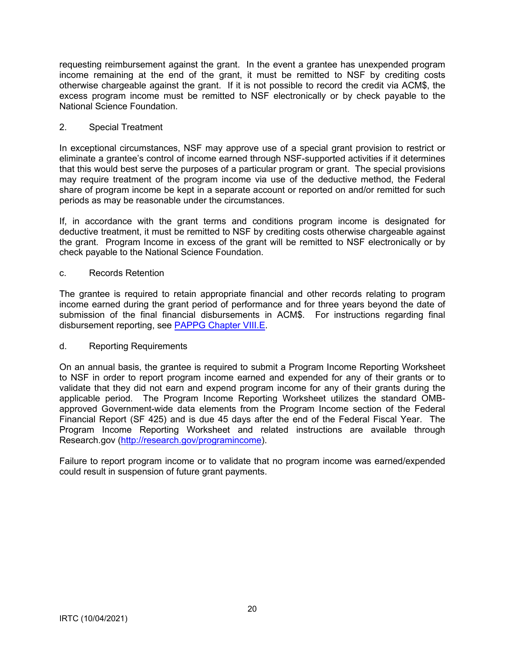requesting reimbursement against the grant. In the event a grantee has unexpended program income remaining at the end of the grant, it must be remitted to NSF by crediting costs otherwise chargeable against the grant. If it is not possible to record the credit via ACM\$, the excess program income must be remitted to NSF electronically or by check payable to the National Science Foundation.

### 2. Special Treatment

In exceptional circumstances, NSF may approve use of a special grant provision to restrict or eliminate a grantee's control of income earned through NSF-supported activities if it determines that this would best serve the purposes of a particular program or grant. The special provisions may require treatment of the program income via use of the deductive method, the Federal share of program income be kept in a separate account or reported on and/or remitted for such periods as may be reasonable under the circumstances.

If, in accordance with the grant terms and conditions program income is designated for deductive treatment, it must be remitted to NSF by crediting costs otherwise chargeable against the grant. Program Income in excess of the grant will be remitted to NSF electronically or by check payable to the National Science Foundation.

### c. Records Retention

The grantee is required to retain appropriate financial and other records relating to program income earned during the grant period of performance and for three years beyond the date of submission of the final financial disbursements in ACM\$. For instructions regarding final disbursement reporting, see [PAPPG Chapter VIII.E.](https://www.nsf.gov/pubs/policydocs/pappg22_1/pappg_8.jsp#VIIIE)

### d. Reporting Requirements

On an annual basis, the grantee is required to submit a Program Income Reporting Worksheet to NSF in order to report program income earned and expended for any of their grants or to validate that they did not earn and expend program income for any of their grants during the applicable period. The Program Income Reporting Worksheet utilizes the standard OMBapproved Government-wide data elements from the Program Income section of the Federal Financial Report (SF 425) and is due 45 days after the end of the Federal Fiscal Year. The Program Income Reporting Worksheet and related instructions are available through Research.gov [\(http://research.gov/programincome\)](http://research.gov/programincome).

Failure to report program income or to validate that no program income was earned/expended could result in suspension of future grant payments.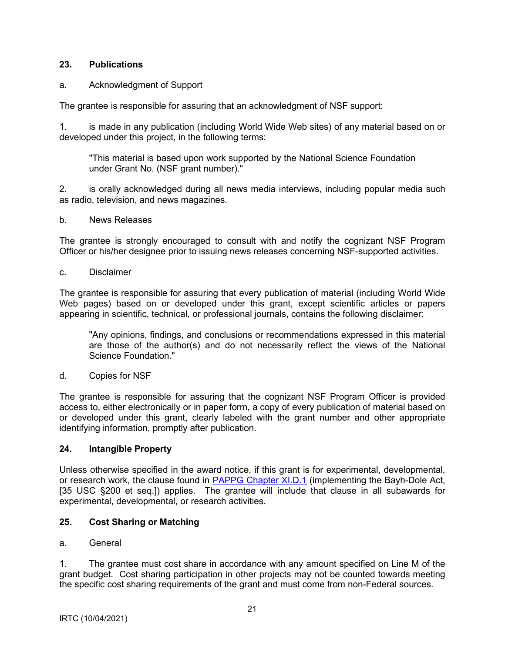### <span id="page-20-0"></span>**23. Publications**

## a*.* Acknowledgment of Support

The grantee is responsible for assuring that an acknowledgment of NSF support:

1. is made in any publication (including World Wide Web sites) of any material based on or developed under this project, in the following terms:

"This material is based upon work supported by the National Science Foundation under Grant No. (NSF grant number)."

2. is orally acknowledged during all news media interviews, including popular media such as radio, television, and news magazines.

b. News Releases

The grantee is strongly encouraged to consult with and notify the cognizant NSF Program Officer or his/her designee prior to issuing news releases concerning NSF-supported activities.

c. Disclaimer

The grantee is responsible for assuring that every publication of material (including World Wide Web pages) based on or developed under this grant, except scientific articles or papers appearing in scientific, technical, or professional journals, contains the following disclaimer:

"Any opinions, findings, and conclusions or recommendations expressed in this material are those of the author(s) and do not necessarily reflect the views of the National Science Foundation."

d. Copies for NSF

The grantee is responsible for assuring that the cognizant NSF Program Officer is provided access to, either electronically or in paper form, a copy of every publication of material based on or developed under this grant, clearly labeled with the grant number and other appropriate identifying information, promptly after publication.

### **24. Intangible Property**

Unless otherwise specified in the award notice, if this grant is for experimental, developmental, or research work, the clause found in PAPPG [Chapter XI.D.1](https://www.nsf.gov/pubs/policydocs/pappg22_1/pappg_11.jsp#XID1) (implementing the Bayh-Dole Act, [35 USC §200 et seq.]) applies. The grantee will include that clause in all subawards for experimental, developmental, or research activities.

# **25. Cost Sharing or Matching**

### a. General

1. The grantee must cost share in accordance with any amount specified on Line M of the grant budget. Cost sharing participation in other projects may not be counted towards meeting the specific cost sharing requirements of the grant and must come from non-Federal sources.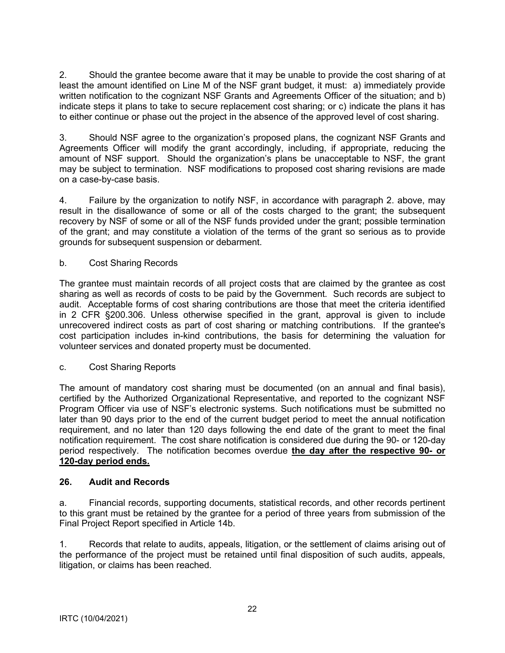<span id="page-21-0"></span>2. Should the grantee become aware that it may be unable to provide the cost sharing of at least the amount identified on Line M of the NSF grant budget, it must: a) immediately provide written notification to the cognizant NSF Grants and Agreements Officer of the situation; and b) indicate steps it plans to take to secure replacement cost sharing; or c) indicate the plans it has to either continue or phase out the project in the absence of the approved level of cost sharing.

3. Should NSF agree to the organization's proposed plans, the cognizant NSF Grants and Agreements Officer will modify the grant accordingly, including, if appropriate, reducing the amount of NSF support. Should the organization's plans be unacceptable to NSF, the grant may be subject to termination. NSF modifications to proposed cost sharing revisions are made on a case-by-case basis.

4. Failure by the organization to notify NSF, in accordance with paragraph 2. above, may result in the disallowance of some or all of the costs charged to the grant; the subsequent recovery by NSF of some or all of the NSF funds provided under the grant; possible termination of the grant; and may constitute a violation of the terms of the grant so serious as to provide grounds for subsequent suspension or debarment.

## b. Cost Sharing Records

The grantee must maintain records of all project costs that are claimed by the grantee as cost sharing as well as records of costs to be paid by the Government. Such records are subject to audit. Acceptable forms of cost sharing contributions are those that meet the criteria identified in 2 CFR §200.306. Unless otherwise specified in the grant, approval is given to include unrecovered indirect costs as part of cost sharing or matching contributions. If the grantee's cost participation includes in-kind contributions, the basis for determining the valuation for volunteer services and donated property must be documented.

### c. Cost Sharing Reports

The amount of mandatory cost sharing must be documented (on an annual and final basis), certified by the Authorized Organizational Representative, and reported to the cognizant NSF Program Officer via use of NSF's electronic systems. Such notifications must be submitted no later than 90 days prior to the end of the current budget period to meet the annual notification requirement, and no later than 120 days following the end date of the grant to meet the final notification requirement. The cost share notification is considered due during the 90- or 120-day period respectively. The notification becomes overdue **the day after the respective 90- or 120-day period ends.** 

### **26. Audit and Records**

a. Financial records, supporting documents, statistical records, and other records pertinent to this grant must be retained by the grantee for a period of three years from submission of the Final Project Report specified in Article 14b.

1. Records that relate to audits, appeals, litigation, or the settlement of claims arising out of the performance of the project must be retained until final disposition of such audits, appeals, litigation, or claims has been reached.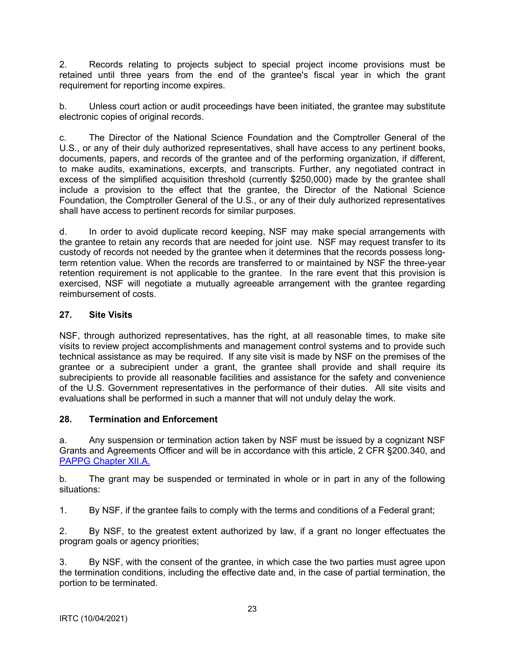<span id="page-22-0"></span>2. Records relating to projects subject to special project income provisions must be retained until three years from the end of the grantee's fiscal year in which the grant requirement for reporting income expires.

b. Unless court action or audit proceedings have been initiated, the grantee may substitute electronic copies of original records.

c. The Director of the National Science Foundation and the Comptroller General of the U.S., or any of their duly authorized representatives, shall have access to any pertinent books, documents, papers, and records of the grantee and of the performing organization, if different, to make audits, examinations, excerpts, and transcripts. Further, any negotiated contract in excess of the simplified acquisition threshold (currently \$250,000) made by the grantee shall include a provision to the effect that the grantee, the Director of the National Science Foundation, the Comptroller General of the U.S., or any of their duly authorized representatives shall have access to pertinent records for similar purposes.

d. In order to avoid duplicate record keeping, NSF may make special arrangements with the grantee to retain any records that are needed for joint use. NSF may request transfer to its custody of records not needed by the grantee when it determines that the records possess longterm retention value. When the records are transferred to or maintained by NSF the three-year retention requirement is not applicable to the grantee. In the rare event that this provision is exercised, NSF will negotiate a mutually agreeable arrangement with the grantee regarding reimbursement of costs.

# **27. Site Visits**

NSF, through authorized representatives, has the right, at all reasonable times, to make site visits to review project accomplishments and management control systems and to provide such technical assistance as may be required. If any site visit is made by NSF on the premises of the grantee or a subrecipient under a grant, the grantee shall provide and shall require its subrecipients to provide all reasonable facilities and assistance for the safety and convenience of the U.S. Government representatives in the performance of their duties. All site visits and evaluations shall be performed in such a manner that will not unduly delay the work.

### **28. Termination and Enforcement**

a. Any suspension or termination action taken by NSF must be issued by a cognizant NSF Grants and Agreements Officer and will be in accordance with this article, 2 CFR §200.340, and [PAPPG Chapter XII.A.](https://www.nsf.gov/pubs/policydocs/pappg22_1/pappg_12.jsp#XIIA)

b. The grant may be suspended or terminated in whole or in part in any of the following situations:

1. By NSF, if the grantee fails to comply with the terms and conditions of a Federal grant;

2. By NSF, to the greatest extent authorized by law, if a grant no longer effectuates the program goals or agency priorities;

3. By NSF, with the consent of the grantee, in which case the two parties must agree upon the termination conditions, including the effective date and, in the case of partial termination, the portion to be terminated.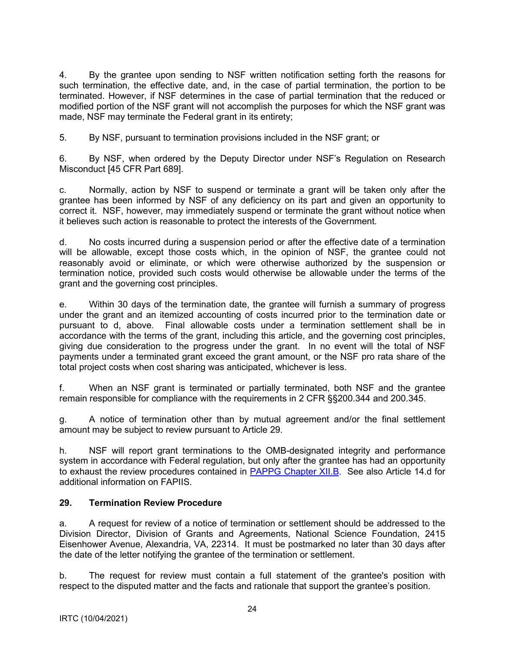<span id="page-23-0"></span>4. By the grantee upon sending to NSF written notification setting forth the reasons for such termination, the effective date, and, in the case of partial termination, the portion to be terminated. However, if NSF determines in the case of partial termination that the reduced or modified portion of the NSF grant will not accomplish the purposes for which the NSF grant was made, NSF may terminate the Federal grant in its entirety;

5. By NSF, pursuant to termination provisions included in the NSF grant; or

6. By NSF, when ordered by the Deputy Director under NSF's Regulation on Research Misconduct [45 CFR Part 689].

c. Normally, action by NSF to suspend or terminate a grant will be taken only after the grantee has been informed by NSF of any deficiency on its part and given an opportunity to correct it. NSF, however, may immediately suspend or terminate the grant without notice when it believes such action is reasonable to protect the interests of the Government.

d. No costs incurred during a suspension period or after the effective date of a termination will be allowable, except those costs which, in the opinion of NSF, the grantee could not reasonably avoid or eliminate, or which were otherwise authorized by the suspension or termination notice, provided such costs would otherwise be allowable under the terms of the grant and the governing cost principles.

e. Within 30 days of the termination date, the grantee will furnish a summary of progress under the grant and an itemized accounting of costs incurred prior to the termination date or pursuant to d, above. Final allowable costs under a termination settlement shall be in accordance with the terms of the grant, including this article, and the governing cost principles, giving due consideration to the progress under the grant. In no event will the total of NSF payments under a terminated grant exceed the grant amount, or the NSF pro rata share of the total project costs when cost sharing was anticipated, whichever is less.

f. When an NSF grant is terminated or partially terminated, both NSF and the grantee remain responsible for compliance with the requirements in 2 CFR §§200.344 and 200.345.

g. A notice of termination other than by mutual agreement and/or the final settlement amount may be subject to review pursuant to Article 29.

h. NSF will report grant terminations to the OMB-designated integrity and performance system in accordance with Federal regulation, but only after the grantee has had an opportunity to exhaust the review procedures contained in [PAPPG Chapter XII.B.](https://www.nsf.gov/pubs/policydocs/pappg22_1/pappg_12.jsp#XIIB) See also Article 14.d for additional information on FAPIIS.

### **29. Termination Review Procedure**

a. A request for review of a notice of termination or settlement should be addressed to the Division Director, Division of Grants and Agreements, National Science Foundation, 2415 Eisenhower Avenue, Alexandria, VA, 22314. It must be postmarked no later than 30 days after the date of the letter notifying the grantee of the termination or settlement.

b. The request for review must contain a full statement of the grantee's position with respect to the disputed matter and the facts and rationale that support the grantee's position.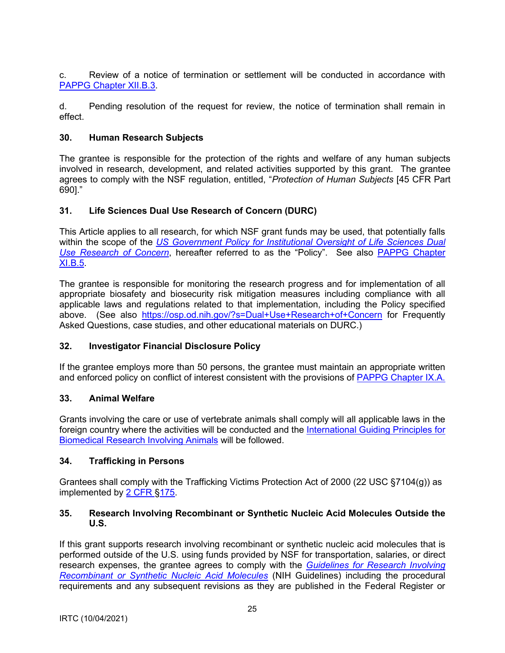<span id="page-24-0"></span>c. Review of a notice of termination or settlement will be conducted in accordance with [PAPPG Chapter XII.B.3.](https://www.nsf.gov/pubs/policydocs/pappg22_1/pappg_12.jsp#XIIB)

d. Pending resolution of the request for review, the notice of termination shall remain in effect.

### **30. Human Research Subjects**

The grantee is responsible for the protection of the rights and welfare of any human subjects involved in research, development, and related activities supported by this grant. The grantee agrees to comply with the NSF regulation, entitled, "*Protection of Human Subjects* [45 CFR Part 690]."

## **31. Life Sciences Dual Use Research of Concern (DURC)**

This Article applies to all research, for which NSF grant funds may be used, that potentially falls within the scope of the *[US Government Policy for Institutional Oversight of Life Sciences Dual](http://www.phe.gov/s3/dualuse/Pages/default.aspx)  [Use Research of Concern](http://www.phe.gov/s3/dualuse/Pages/default.aspx)*, hereafter referred to as the "Policy". See also [PAPPG Chapter](https://www.nsf.gov/pubs/policydocs/pappg22_1/pappg_11.jsp#XIB5)  [XI.B.5.](https://www.nsf.gov/pubs/policydocs/pappg22_1/pappg_11.jsp#XIB5)

The grantee is responsible for monitoring the research progress and for implementation of all appropriate biosafety and biosecurity risk mitigation measures including compliance with all applicable laws and regulations related to that implementation, including the Policy specified above. (See also <https://osp.od.nih.gov/?s=Dual+Use+Research+of+Concern> for Frequently Asked Questions, case studies, and other educational materials on DURC.)

### **32. Investigator Financial Disclosure Policy**

If the grantee employs more than 50 persons, the grantee must maintain an appropriate written and enforced policy on conflict of interest consistent with the provisions of [PAPPG Chapter IX.A.](https://www.nsf.gov/pubs/policydocs/pappg22_1/pappg_9.jsp#IXA)

### **33. Animal Welfare**

Grants involving the care or use of vertebrate animals shall comply will all applicable laws in the foreign country where the activities will be conducted and the [International Guiding Principles for](http://grants.nih.gov/grants/olaw/Guiding_Principles_2012.pdf)  [Biomedical Research Involving Animals](http://grants.nih.gov/grants/olaw/Guiding_Principles_2012.pdf) will be followed.

### **34. Trafficking in Persons**

Grantees shall comply with the Trafficking Victims Protection Act of 2000 (22 USC §7104(g)) as implemented by [2 CFR §175.](http://www.ecfr.gov/cgi-bin/text-idx?tpl=/ecfrbrowse/Title02/2cfr175_main_02.tpl)

### **35. Research Involving Recombinant or Synthetic Nucleic Acid Molecules Outside the U.S.**

If this grant supports research involving recombinant or synthetic nucleic acid molecules that is performed outside of the U.S. using funds provided by NSF for transportation, salaries, or direct research expenses, the grantee agrees to comply with the *[Guidelines for Research Involving](http://osp.od.nih.gov/office-biotechnology-activities/biosafety/nih-guidelines)  [Recombinant or Synthetic Nucleic Acid Molecules](http://osp.od.nih.gov/office-biotechnology-activities/biosafety/nih-guidelines)* (NIH Guidelines) including the procedural requirements and any subsequent revisions as they are published in the Federal Register or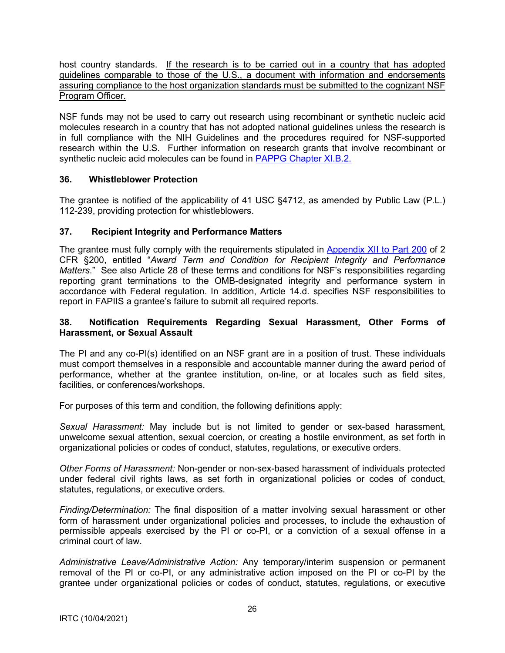<span id="page-25-0"></span>host country standards. If the research is to be carried out in a country that has adopted guidelines comparable to those of the U.S., a document with information and endorsements assuring compliance to the host organization standards must be submitted to the cognizant NSF Program Officer.

NSF funds may not be used to carry out research using recombinant or synthetic nucleic acid molecules research in a country that has not adopted national guidelines unless the research is in full compliance with the NIH Guidelines and the procedures required for NSF-supported research within the U.S. Further information on research grants that involve recombinant or synthetic nucleic acid molecules can be found in [PAPPG Chapter XI.B.2.](https://www.nsf.gov/pubs/policydocs/pappg22_1/pappg_11.jsp#XIB2)

## **36. Whistleblower Protection**

The grantee is notified of the applicability of 41 USC §4712, as amended by Public Law (P.L.) 112-239, providing protection for whistleblowers.

## **37. Recipient Integrity and Performance Matters**

The grantee must fully comply with the requirements stipulated in [Appendix XII to Part 200](http://www.ecfr.gov/cgi-bin/text-idx?SID=704835d27377ef5213a51c149de40cab&node=2:1.1.2.2.1&rgn=div5) of 2 CFR §200, entitled "*Award Term and Condition for Recipient Integrity and Performance Matters*." See also Article 28 of these terms and conditions for NSF's responsibilities regarding reporting grant terminations to the OMB-designated integrity and performance system in accordance with Federal regulation. In addition, Article 14.d. specifies NSF responsibilities to report in FAPIIS a grantee's failure to submit all required reports.

### **38. Notification Requirements Regarding Sexual Harassment, Other Forms of Harassment, or Sexual Assault**

The PI and any co-PI(s) identified on an NSF grant are in a position of trust. These individuals must comport themselves in a responsible and accountable manner during the award period of performance, whether at the grantee institution, on-line, or at locales such as field sites, facilities, or conferences/workshops.

For purposes of this term and condition, the following definitions apply:

*Sexual Harassment:* May include but is not limited to gender or sex-based harassment, unwelcome sexual attention, sexual coercion, or creating a hostile environment, as set forth in organizational policies or codes of conduct, statutes, regulations, or executive orders.

*Other Forms of Harassment:* Non-gender or non-sex-based harassment of individuals protected under federal civil rights laws, as set forth in organizational policies or codes of conduct, statutes, regulations, or executive orders.

*Finding/Determination:* The final disposition of a matter involving sexual harassment or other form of harassment under organizational policies and processes, to include the exhaustion of permissible appeals exercised by the PI or co-PI, or a conviction of a sexual offense in a criminal court of law.

*Administrative Leave/Administrative Action:* Any temporary/interim suspension or permanent removal of the PI or co-PI, or any administrative action imposed on the PI or co-PI by the grantee under organizational policies or codes of conduct, statutes, regulations, or executive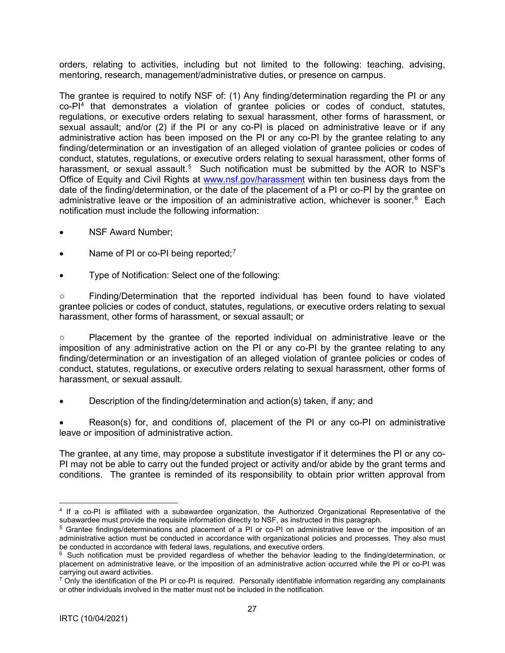orders, relating to activities, including but not limited to the following: teaching, advising, mentoring, research, management/administrative duties, or presence on campus.

The grantee is required to notify NSF of: (1) Any finding/determination regarding the PI or any  $co-PI<sup>4</sup>$  $co-PI<sup>4</sup>$  $co-PI<sup>4</sup>$  that demonstrates a violation of grantee policies or codes of conduct, statutes, regulations, or executive orders relating to sexual harassment, other forms of harassment, or sexual assault; and/or (2) if the PI or any co-PI is placed on administrative leave or if any administrative action has been imposed on the PI or any co-PI by the grantee relating to any finding/determination or an investigation of an alleged violation of grantee policies or codes of conduct, statutes, regulations, or executive orders relating to sexual harassment, other forms of harassment, or sexual assault.<sup>[5](#page-26-1)</sup> Such notification must be submitted by the AOR to NSF's Office of Equity and Civil Rights at [www.nsf.gov/harassment](http://www.nsf.gov/harassment) within ten business days from the date of the finding/determination, or the date of the placement of a PI or co-PI by the grantee on administrative leave or the imposition of an administrative action, whichever is sooner.<sup>[6](#page-26-2)</sup> Each notification must include the following information:

- NSF Award Number;
- Name of PI or co-PI being reported; $<sup>7</sup>$  $<sup>7</sup>$  $<sup>7</sup>$ </sup>
- Type of Notification: Select one of the following:

○ Finding/Determination that the reported individual has been found to have violated grantee policies or codes of conduct, statutes, regulations, or executive orders relating to sexual harassment, other forms of harassment, or sexual assault; or

○ Placement by the grantee of the reported individual on administrative leave or the imposition of any administrative action on the PI or any co-PI by the grantee relating to any finding/determination or an investigation of an alleged violation of grantee policies or codes of conduct, statutes, regulations, or executive orders relating to sexual harassment, other forms of harassment, or sexual assault.

• Description of the finding/determination and action(s) taken, if any; and

• Reason(s) for, and conditions of, placement of the PI or any co-PI on administrative leave or imposition of administrative action.

The grantee, at any time, may propose a substitute investigator if it determines the PI or any co-PI may not be able to carry out the funded project or activity and/or abide by the grant terms and conditions. The grantee is reminded of its responsibility to obtain prior written approval from

<span id="page-26-0"></span><sup>4</sup> If a co-PI is affiliated with a subawardee organization, the Authorized Organizational Representative of the subawardee must provide the requisite information directly to NSF, as instructed in this paragraph.

<span id="page-26-1"></span><sup>5</sup> Grantee findings/determinations and placement of a PI or co-PI on administrative leave or the imposition of an administrative action must be conducted in accordance with organizational policies and processes. They also must be conducted in accordance with federal laws, regulations, and executive orders.

<span id="page-26-2"></span><sup>&</sup>lt;sup>6</sup> Such notification must be provided regardless of whether the behavior leading to the finding/determination, or placement on administrative leave, or the imposition of an administrative action occurred while the PI or co-PI was carrying out award activities.

<span id="page-26-3"></span> $7$  Only the identification of the PI or co-PI is required. Personally identifiable information regarding any complainants or other individuals involved in the matter must not be included in the notification.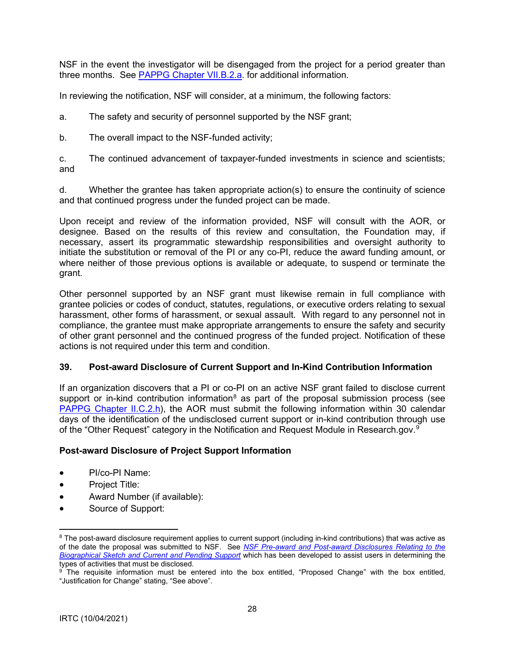<span id="page-27-0"></span>NSF in the event the investigator will be disengaged from the project for a period greater than three months. See [PAPPG Chapter VII.B.2.a.](https://www.nsf.gov/pubs/policydocs/pappg22_1/pappg_7.jsp#VIIB2a) for additional information.

In reviewing the notification, NSF will consider, at a minimum, the following factors:

a. The safety and security of personnel supported by the NSF grant;

b. The overall impact to the NSF-funded activity;

c. The continued advancement of taxpayer-funded investments in science and scientists; and

d. Whether the grantee has taken appropriate action(s) to ensure the continuity of science and that continued progress under the funded project can be made.

Upon receipt and review of the information provided, NSF will consult with the AOR, or designee. Based on the results of this review and consultation, the Foundation may, if necessary, assert its programmatic stewardship responsibilities and oversight authority to initiate the substitution or removal of the PI or any co-PI, reduce the award funding amount, or where neither of those previous options is available or adequate, to suspend or terminate the grant.

Other personnel supported by an NSF grant must likewise remain in full compliance with grantee policies or codes of conduct, statutes, regulations, or executive orders relating to sexual harassment, other forms of harassment, or sexual assault. With regard to any personnel not in compliance, the grantee must make appropriate arrangements to ensure the safety and security of other grant personnel and the continued progress of the funded project. Notification of these actions is not required under this term and condition.

### **39. Post-award Disclosure of Current Support and In-Kind Contribution Information**

If an organization discovers that a PI or co-PI on an active NSF grant failed to disclose current support or in-kind contribution information<sup>[8](#page-27-1)</sup> as part of the proposal submission process (see [PAPPG Chapter II.C.2.h\)](https://www.nsf.gov/pubs/policydocs/pappg22_1/pappg_2.jsp#IIC2h), the AOR must submit the following information within 30 calendar days of the identification of the undisclosed current support or in-kind contribution through use of the "Other Request" category in the Notification and Request Module in Research.gov. $^9$  $^9$ 

### **Post-award Disclosure of Project Support Information**

- PI/co-PI Name:
- Project Title:
- Award Number (if available):
- Source of Support:

<span id="page-27-1"></span><sup>&</sup>lt;sup>8</sup> The post-award disclosure requirement applies to current support (including in-kind contributions) that was active as of the date the proposal was submitted to NSF. See *[NSF Pre-award and Post-award Disclosures Relating to the](https://www.nsf.gov/bfa/dias/policy/disclosures_table.jsp)  [Biographical Sketch and Current and Pending Support](https://www.nsf.gov/bfa/dias/policy/disclosures_table.jsp)* which has been developed to assist users in determining the

<span id="page-27-2"></span> $\frac{9}{1}$  The requisite information must be entered into the box entitled, "Proposed Change" with the box entitled, "Justification for Change" stating, "See above".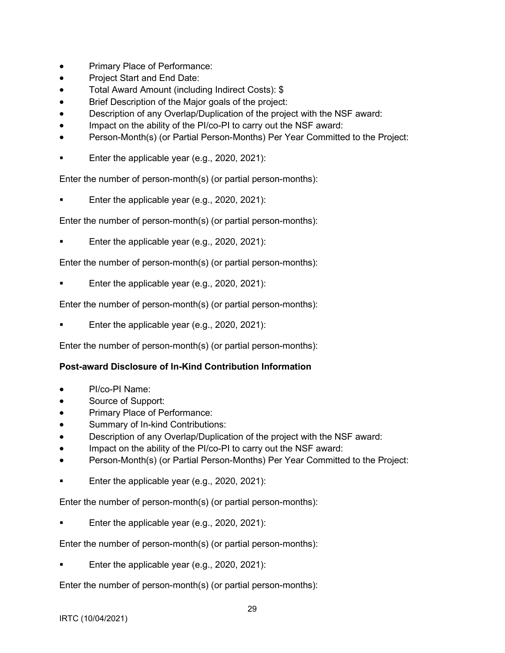- Primary Place of Performance:
- Project Start and End Date:
- Total Award Amount (including Indirect Costs): \$
- Brief Description of the Major goals of the project:
- Description of any Overlap/Duplication of the project with the NSF award:
- Impact on the ability of the PI/co-PI to carry out the NSF award:
- Person-Month(s) (or Partial Person-Months) Per Year Committed to the Project:
- **Enter the applicable year (e.g., 2020, 2021):**

Enter the number of person-month(s) (or partial person-months):

Enter the applicable year (e.g., 2020, 2021):

Enter the number of person-month(s) (or partial person-months):

Enter the applicable year (e.g., 2020, 2021):

Enter the number of person-month(s) (or partial person-months):

Enter the applicable year (e.g., 2020, 2021):

Enter the number of person-month(s) (or partial person-months):

Enter the applicable year (e.g., 2020, 2021):

Enter the number of person-month(s) (or partial person-months):

### **Post-award Disclosure of In-Kind Contribution Information**

- PI/co-PI Name:
- Source of Support:
- Primary Place of Performance:
- Summary of In-kind Contributions:
- Description of any Overlap/Duplication of the project with the NSF award:
- Impact on the ability of the PI/co-PI to carry out the NSF award:
- Person-Month(s) (or Partial Person-Months) Per Year Committed to the Project:
- Enter the applicable year (e.g., 2020, 2021):

Enter the number of person-month(s) (or partial person-months):

Enter the applicable year (e.g., 2020, 2021):

Enter the number of person-month(s) (or partial person-months):

Enter the applicable year (e.g., 2020, 2021):

Enter the number of person-month(s) (or partial person-months):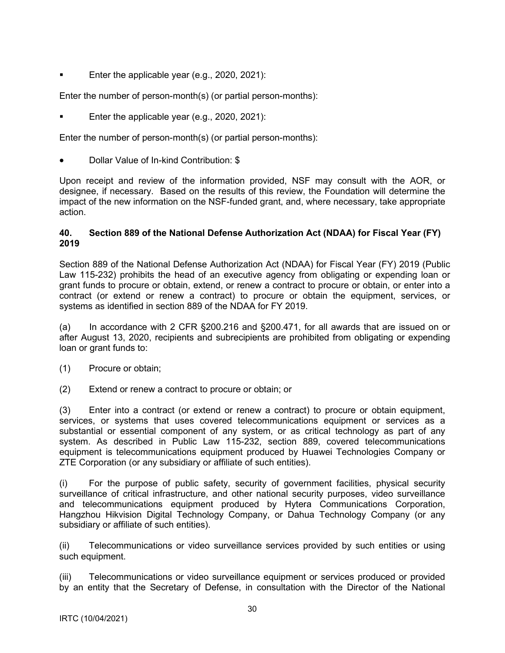<span id="page-29-0"></span>Enter the applicable year (e.g., 2020, 2021):

Enter the number of person-month(s) (or partial person-months):

Enter the applicable year (e.g., 2020, 2021):

Enter the number of person-month(s) (or partial person-months):

• Dollar Value of In-kind Contribution: \$

Upon receipt and review of the information provided, NSF may consult with the AOR, or designee, if necessary. Based on the results of this review, the Foundation will determine the impact of the new information on the NSF-funded grant, and, where necessary, take appropriate action.

#### **40. Section 889 of the National Defense Authorization Act (NDAA) for Fiscal Year (FY) 2019**

Section 889 of the National Defense Authorization Act (NDAA) for Fiscal Year (FY) 2019 (Public Law 115-232) prohibits the head of an executive agency from obligating or expending loan or grant funds to procure or obtain, extend, or renew a contract to procure or obtain, or enter into a contract (or extend or renew a contract) to procure or obtain the equipment, services, or systems as identified in section 889 of the NDAA for FY 2019.

(a) In accordance with 2 CFR §200.216 and §200.471, for all awards that are issued on or after August 13, 2020, recipients and subrecipients are prohibited from obligating or expending loan or grant funds to:

- (1) Procure or obtain;
- (2) Extend or renew a contract to procure or obtain; or

(3) Enter into a contract (or extend or renew a contract) to procure or obtain equipment, services, or systems that uses covered telecommunications equipment or services as a substantial or essential component of any system, or as critical technology as part of any system. As described in Public Law 115-232, section 889, covered telecommunications equipment is telecommunications equipment produced by Huawei Technologies Company or ZTE Corporation (or any subsidiary or affiliate of such entities).

(i) For the purpose of public safety, security of government facilities, physical security surveillance of critical infrastructure, and other national security purposes, video surveillance and telecommunications equipment produced by Hytera Communications Corporation, Hangzhou Hikvision Digital Technology Company, or Dahua Technology Company (or any subsidiary or affiliate of such entities).

(ii) Telecommunications or video surveillance services provided by such entities or using such equipment.

(iii) Telecommunications or video surveillance equipment or services produced or provided by an entity that the Secretary of Defense, in consultation with the Director of the National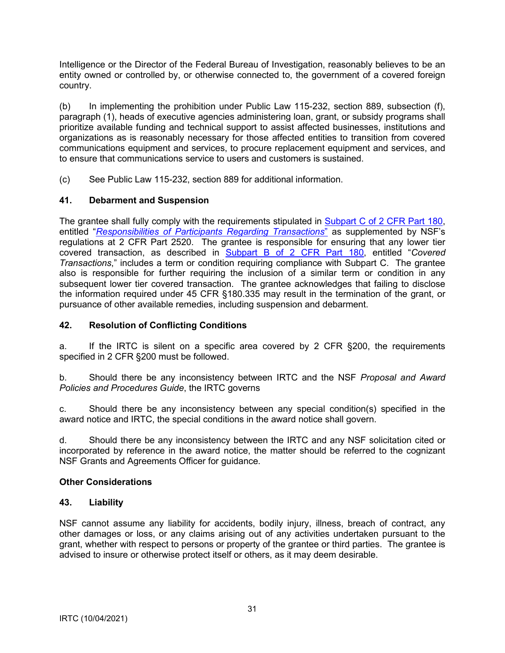<span id="page-30-0"></span>Intelligence or the Director of the Federal Bureau of Investigation, reasonably believes to be an entity owned or controlled by, or otherwise connected to, the government of a covered foreign country.

(b) In implementing the prohibition under Public Law 115-232, section 889, subsection (f), paragraph (1), heads of executive agencies administering loan, grant, or subsidy programs shall prioritize available funding and technical support to assist affected businesses, institutions and organizations as is reasonably necessary for those affected entities to transition from covered communications equipment and services, to procure replacement equipment and services, and to ensure that communications service to users and customers is sustained.

(c) See Public Law 115-232, section 889 for additional information.

# **41. Debarment and Suspension**

The grantee shall fully comply with the requirements stipulated in Subpart C of 2 CFR Part 180, entitled "*Responsibilities of Participants Regarding Transactions*" as supplemented by NSF's regulations at 2 CFR Part 2520. The grantee is responsible for ensuring that any lower tier covered transaction, as described in Subpart B of 2 CFR Part 180, entitled "*Covered Transactions*," includes a term or condition requiring compliance with Subpart C. The grantee also is responsible for further requiring the inclusion of a similar term or condition in any subsequent lower tier covered transaction. The grantee acknowledges that failing to disclose the information required under 45 CFR §180.335 may result in the termination of the grant, or pursuance of other available remedies, including suspension and debarment.

## **42. Resolution of Conflicting Conditions**

a. If the IRTC is silent on a specific area covered by 2 CFR §200, the requirements specified in 2 CFR §200 must be followed.

b. Should there be any inconsistency between IRTC and the NSF *Proposal and Award Policies and Procedures Guide*, the IRTC governs

c. Should there be any inconsistency between any special condition(s) specified in the award notice and IRTC, the special conditions in the award notice shall govern.

d. Should there be any inconsistency between the IRTC and any NSF solicitation cited or incorporated by reference in the award notice, the matter should be referred to the cognizant NSF Grants and Agreements Officer for guidance.

### **Other Considerations**

### **43. Liability**

NSF cannot assume any liability for accidents, bodily injury, illness, breach of contract, any other damages or loss, or any claims arising out of any activities undertaken pursuant to the grant, whether with respect to persons or property of the grantee or third parties. The grantee is advised to insure or otherwise protect itself or others, as it may deem desirable.